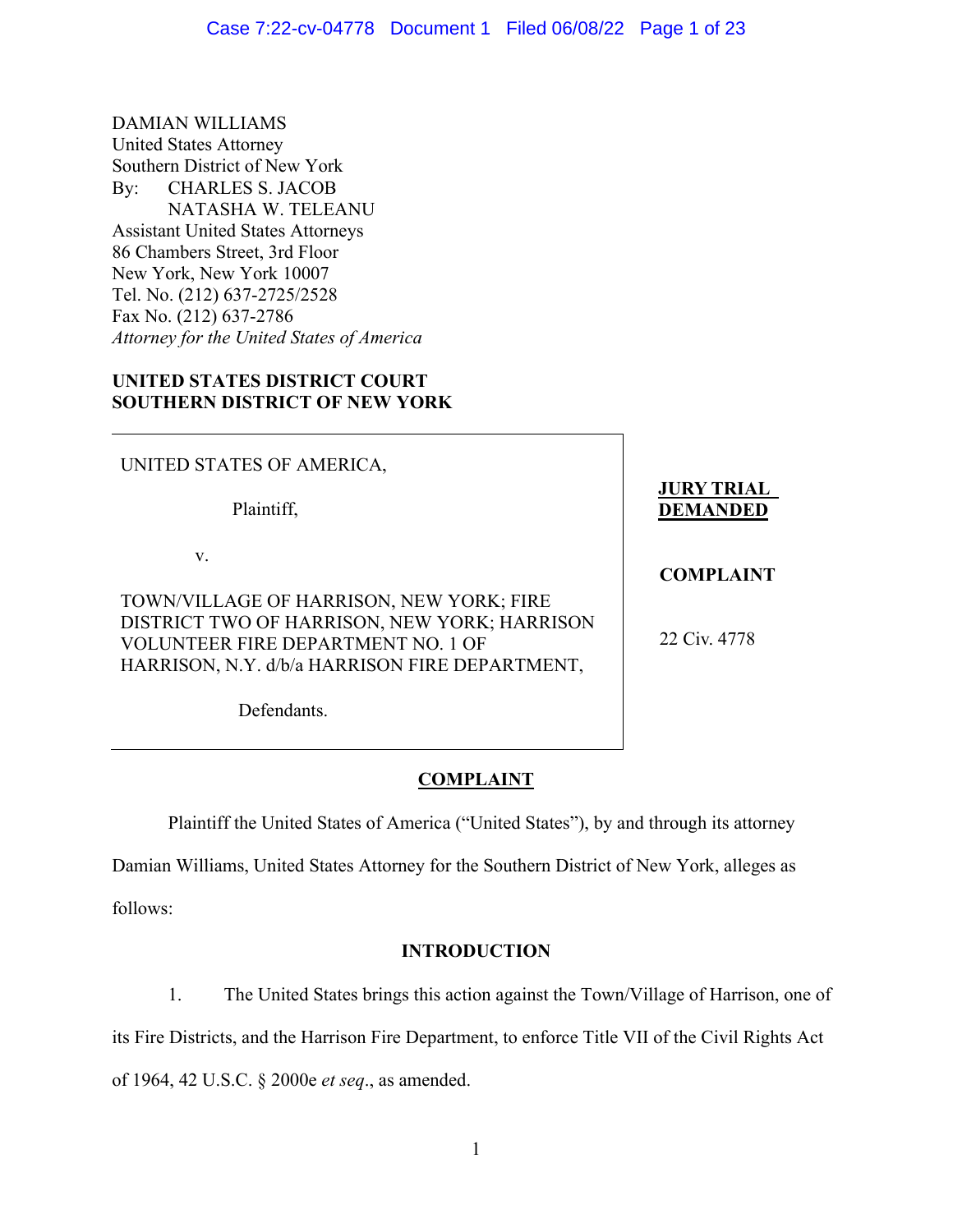DAMIAN WILLIAMS United States Attorney Southern District of New York By: CHARLES S. JACOB NATASHA W. TELEANU Assistant United States Attorneys 86 Chambers Street, 3rd Floor New York, New York 10007 Tel. No. (212) 637-2725/2528 Fax No. (212) 637-2786 *Attorney for the United States of America* 

## **UNITED STATES DISTRICT COURT SOUTHERN DISTRICT OF NEW YORK**

UNITED STATES OF AMERICA, Plaintiff, v. TOWN/VILLAGE OF HARRISON, NEW YORK; FIRE DISTRICT TWO OF HARRISON, NEW YORK; HARRISON VOLUNTEER FIRE DEPARTMENT NO. 1 OF HARRISON, N.Y. d/b/a HARRISON FIRE DEPARTMENT, Defendants. **JURY TRIAL DEMANDED COMPLAINT** 22 Civ. 4778

# **COMPLAINT**

Plaintiff the United States of America ("United States"), by and through its attorney

Damian Williams, United States Attorney for the Southern District of New York, alleges as

follows:

# **INTRODUCTION**

1. The United States brings this action against the Town/Village of Harrison, one of

its Fire Districts, and the Harrison Fire Department, to enforce Title VII of the Civil Rights Act

of 1964, 42 U.S.C. § 2000e *et seq*., as amended.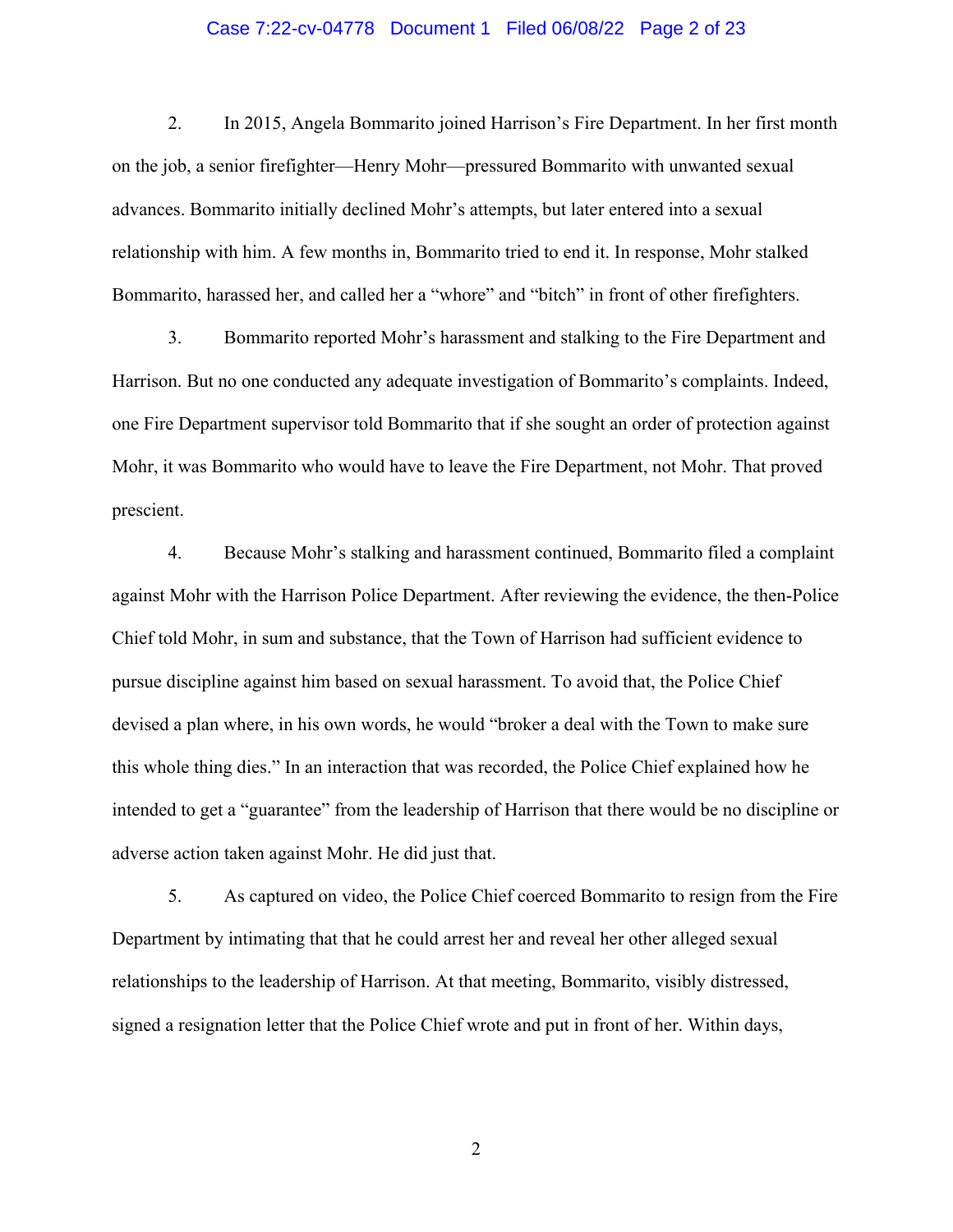#### Case 7:22-cv-04778 Document 1 Filed 06/08/22 Page 2 of 23

2. In 2015, Angela Bommarito joined Harrison's Fire Department. In her first month on the job, a senior firefighter—Henry Mohr—pressured Bommarito with unwanted sexual advances. Bommarito initially declined Mohr's attempts, but later entered into a sexual relationship with him. A few months in, Bommarito tried to end it. In response, Mohr stalked Bommarito, harassed her, and called her a "whore" and "bitch" in front of other firefighters.

3. Bommarito reported Mohr's harassment and stalking to the Fire Department and Harrison. But no one conducted any adequate investigation of Bommarito's complaints. Indeed, one Fire Department supervisor told Bommarito that if she sought an order of protection against Mohr, it was Bommarito who would have to leave the Fire Department, not Mohr. That proved prescient.

4. Because Mohr's stalking and harassment continued, Bommarito filed a complaint against Mohr with the Harrison Police Department. After reviewing the evidence, the then-Police Chief told Mohr, in sum and substance, that the Town of Harrison had sufficient evidence to pursue discipline against him based on sexual harassment. To avoid that, the Police Chief devised a plan where, in his own words, he would "broker a deal with the Town to make sure this whole thing dies." In an interaction that was recorded, the Police Chief explained how he intended to get a "guarantee" from the leadership of Harrison that there would be no discipline or adverse action taken against Mohr. He did just that.

5. As captured on video, the Police Chief coerced Bommarito to resign from the Fire Department by intimating that that he could arrest her and reveal her other alleged sexual relationships to the leadership of Harrison. At that meeting, Bommarito, visibly distressed, signed a resignation letter that the Police Chief wrote and put in front of her. Within days,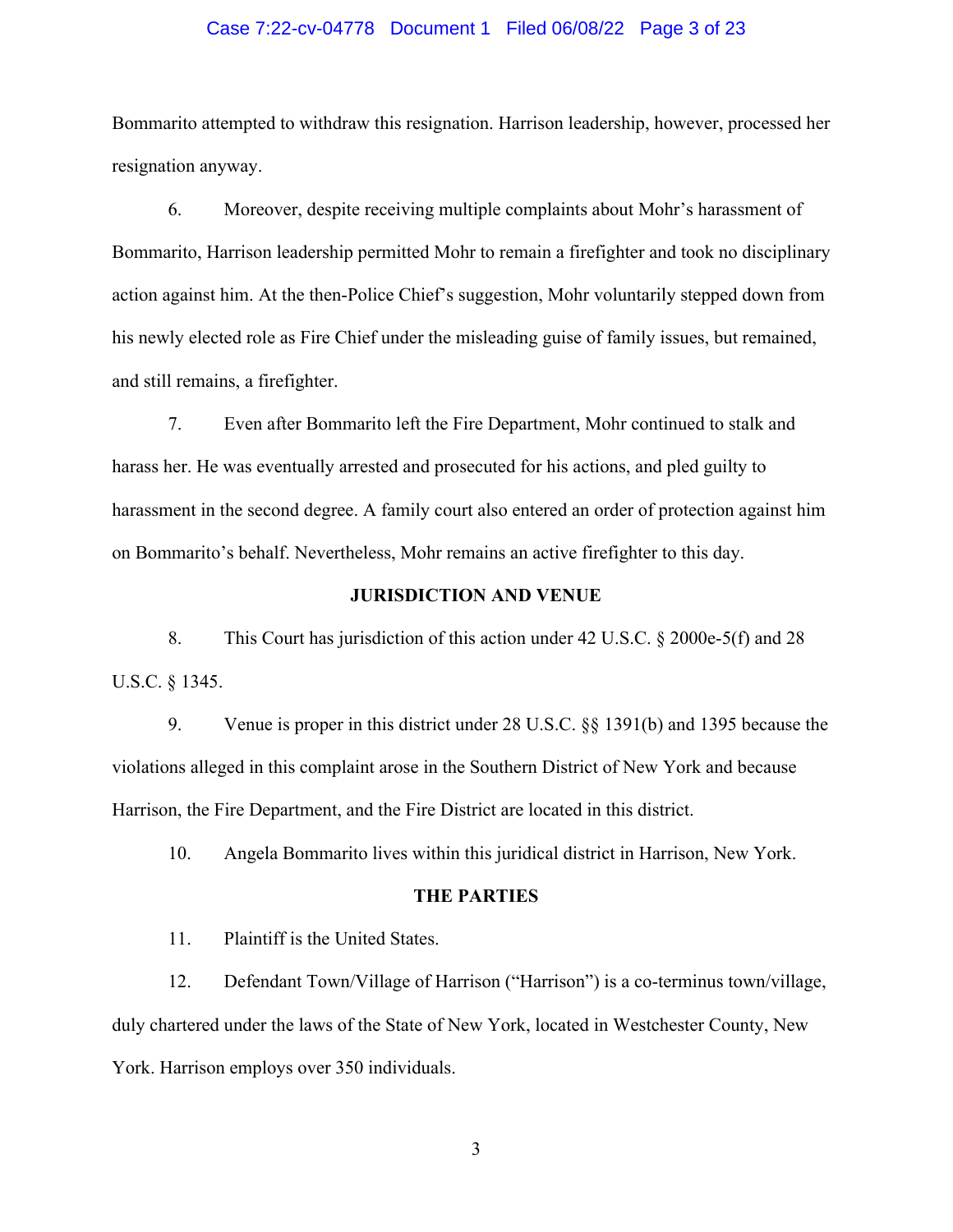#### Case 7:22-cv-04778 Document 1 Filed 06/08/22 Page 3 of 23

Bommarito attempted to withdraw this resignation. Harrison leadership, however, processed her resignation anyway.

6. Moreover, despite receiving multiple complaints about Mohr's harassment of Bommarito, Harrison leadership permitted Mohr to remain a firefighter and took no disciplinary action against him. At the then-Police Chief's suggestion, Mohr voluntarily stepped down from his newly elected role as Fire Chief under the misleading guise of family issues, but remained, and still remains, a firefighter.

7. Even after Bommarito left the Fire Department, Mohr continued to stalk and harass her. He was eventually arrested and prosecuted for his actions, and pled guilty to harassment in the second degree. A family court also entered an order of protection against him on Bommarito's behalf. Nevertheless, Mohr remains an active firefighter to this day.

### **JURISDICTION AND VENUE**

8. This Court has jurisdiction of this action under 42 U.S.C. § 2000e-5(f) and 28 U.S.C. § 1345.

9. Venue is proper in this district under 28 U.S.C. §§ 1391(b) and 1395 because the violations alleged in this complaint arose in the Southern District of New York and because Harrison, the Fire Department, and the Fire District are located in this district.

10. Angela Bommarito lives within this juridical district in Harrison, New York.

#### **THE PARTIES**

11. Plaintiff is the United States.

12. Defendant Town/Village of Harrison ("Harrison") is a co-terminus town/village, duly chartered under the laws of the State of New York, located in Westchester County, New York. Harrison employs over 350 individuals.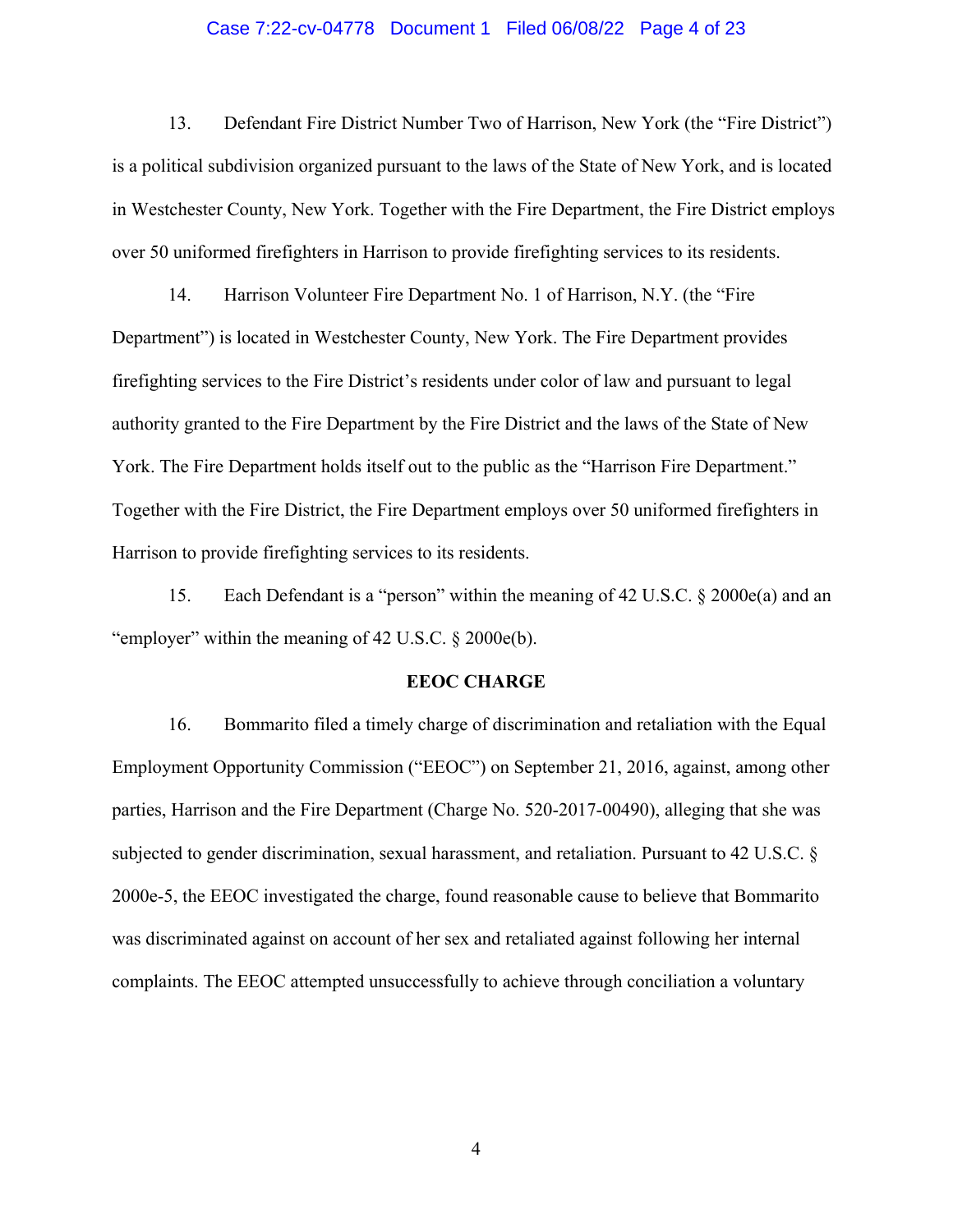#### Case 7:22-cv-04778 Document 1 Filed 06/08/22 Page 4 of 23

13. Defendant Fire District Number Two of Harrison, New York (the "Fire District") is a political subdivision organized pursuant to the laws of the State of New York, and is located in Westchester County, New York. Together with the Fire Department, the Fire District employs over 50 uniformed firefighters in Harrison to provide firefighting services to its residents.

14. Harrison Volunteer Fire Department No. 1 of Harrison, N.Y. (the "Fire Department") is located in Westchester County, New York. The Fire Department provides firefighting services to the Fire District's residents under color of law and pursuant to legal authority granted to the Fire Department by the Fire District and the laws of the State of New York. The Fire Department holds itself out to the public as the "Harrison Fire Department." Together with the Fire District, the Fire Department employs over 50 uniformed firefighters in Harrison to provide firefighting services to its residents.

15. Each Defendant is a "person" within the meaning of 42 U.S.C. § 2000e(a) and an "employer" within the meaning of 42 U.S.C. § 2000e(b).

#### **EEOC CHARGE**

16. Bommarito filed a timely charge of discrimination and retaliation with the Equal Employment Opportunity Commission ("EEOC") on September 21, 2016, against, among other parties, Harrison and the Fire Department (Charge No. 520-2017-00490), alleging that she was subjected to gender discrimination, sexual harassment, and retaliation. Pursuant to 42 U.S.C. § 2000e-5, the EEOC investigated the charge, found reasonable cause to believe that Bommarito was discriminated against on account of her sex and retaliated against following her internal complaints. The EEOC attempted unsuccessfully to achieve through conciliation a voluntary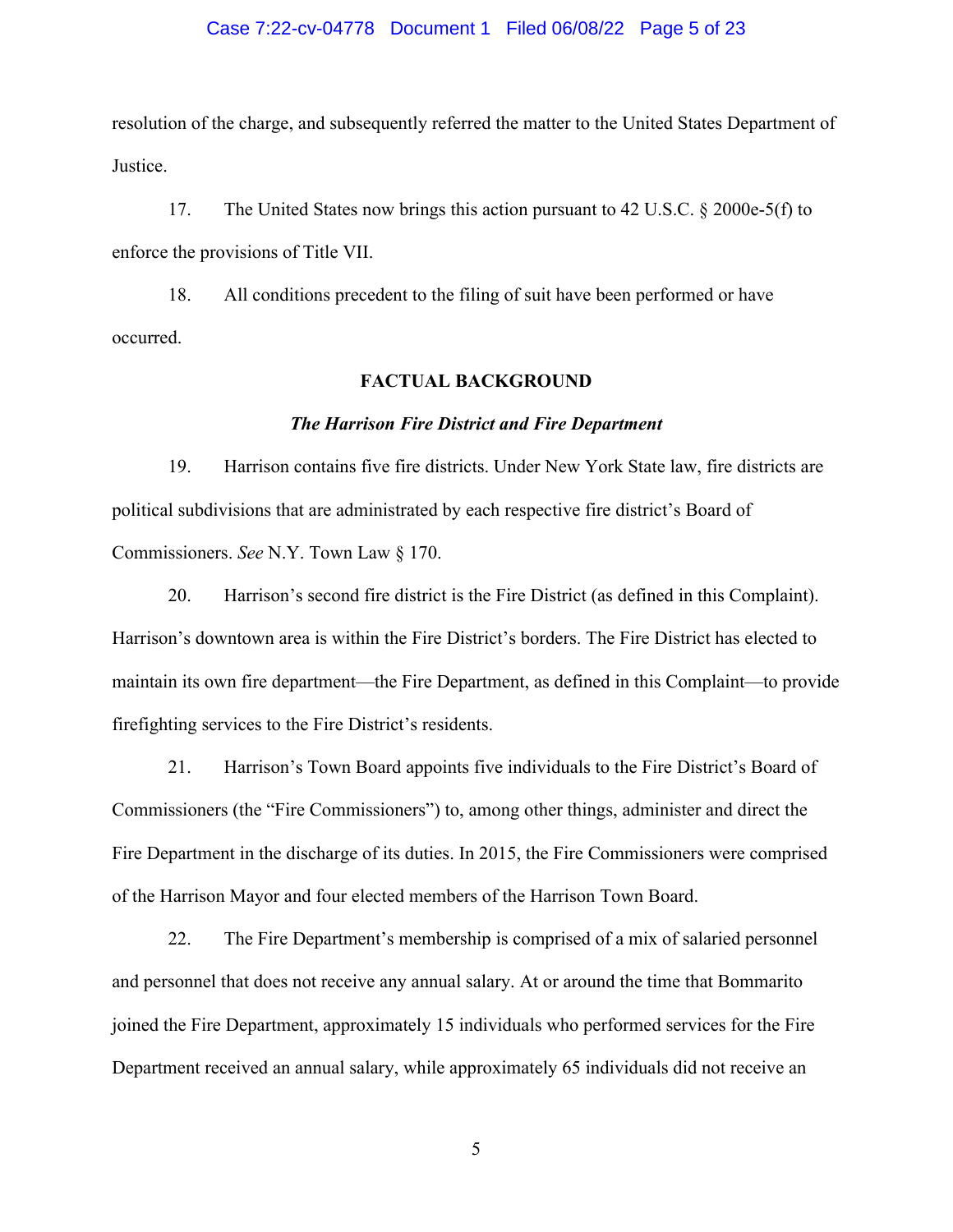#### Case 7:22-cv-04778 Document 1 Filed 06/08/22 Page 5 of 23

resolution of the charge, and subsequently referred the matter to the United States Department of Justice.

17. The United States now brings this action pursuant to 42 U.S.C. § 2000e-5(f) to enforce the provisions of Title VII.

18. All conditions precedent to the filing of suit have been performed or have occurred.

### **FACTUAL BACKGROUND**

#### *The Harrison Fire District and Fire Department*

19. Harrison contains five fire districts. Under New York State law, fire districts are political subdivisions that are administrated by each respective fire district's Board of Commissioners. *See* N.Y. Town Law § 170.

20. Harrison's second fire district is the Fire District (as defined in this Complaint). Harrison's downtown area is within the Fire District's borders. The Fire District has elected to maintain its own fire department—the Fire Department, as defined in this Complaint—to provide firefighting services to the Fire District's residents.

21. Harrison's Town Board appoints five individuals to the Fire District's Board of Commissioners (the "Fire Commissioners") to, among other things, administer and direct the Fire Department in the discharge of its duties. In 2015, the Fire Commissioners were comprised of the Harrison Mayor and four elected members of the Harrison Town Board.

22. The Fire Department's membership is comprised of a mix of salaried personnel and personnel that does not receive any annual salary. At or around the time that Bommarito joined the Fire Department, approximately 15 individuals who performed services for the Fire Department received an annual salary, while approximately 65 individuals did not receive an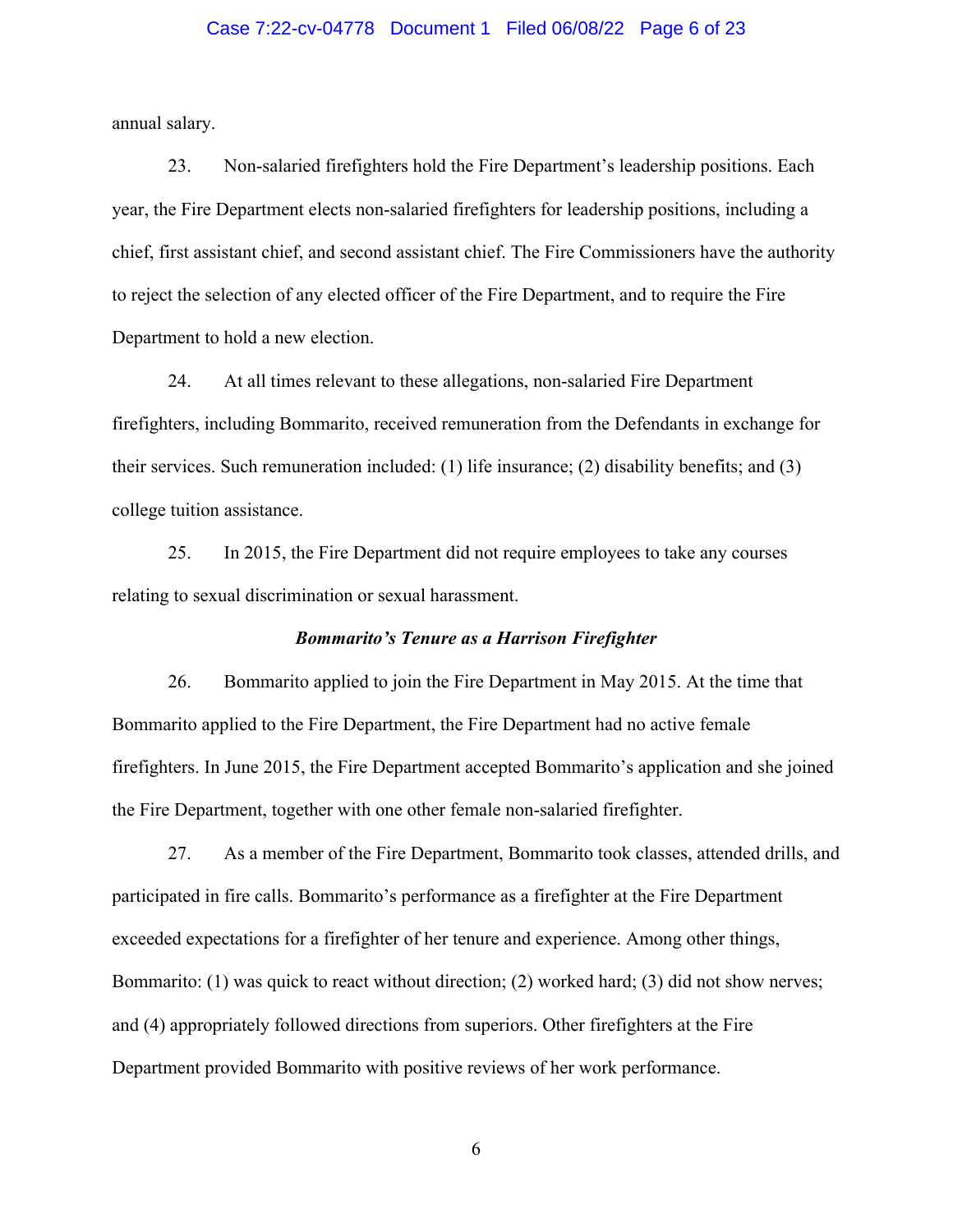### Case 7:22-cv-04778 Document 1 Filed 06/08/22 Page 6 of 23

annual salary.

23. Non-salaried firefighters hold the Fire Department's leadership positions. Each year, the Fire Department elects non-salaried firefighters for leadership positions, including a chief, first assistant chief, and second assistant chief. The Fire Commissioners have the authority to reject the selection of any elected officer of the Fire Department, and to require the Fire Department to hold a new election.

24. At all times relevant to these allegations, non-salaried Fire Department firefighters, including Bommarito, received remuneration from the Defendants in exchange for their services. Such remuneration included: (1) life insurance; (2) disability benefits; and (3) college tuition assistance.

25. In 2015, the Fire Department did not require employees to take any courses relating to sexual discrimination or sexual harassment.

### *Bommarito's Tenure as a Harrison Firefighter*

26. Bommarito applied to join the Fire Department in May 2015. At the time that Bommarito applied to the Fire Department, the Fire Department had no active female firefighters. In June 2015, the Fire Department accepted Bommarito's application and she joined the Fire Department, together with one other female non-salaried firefighter.

27. As a member of the Fire Department, Bommarito took classes, attended drills, and participated in fire calls. Bommarito's performance as a firefighter at the Fire Department exceeded expectations for a firefighter of her tenure and experience. Among other things, Bommarito: (1) was quick to react without direction; (2) worked hard; (3) did not show nerves; and (4) appropriately followed directions from superiors. Other firefighters at the Fire Department provided Bommarito with positive reviews of her work performance.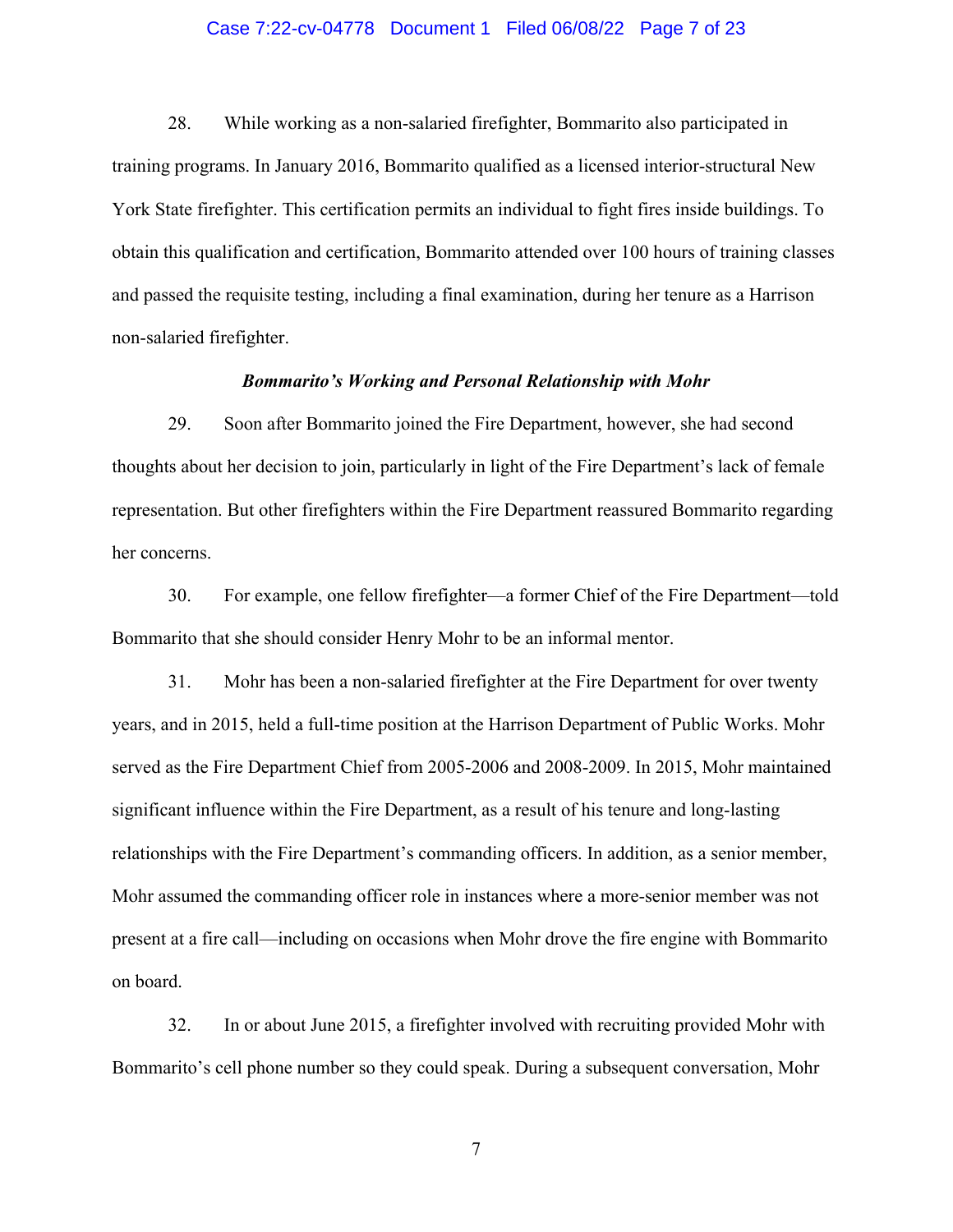#### Case 7:22-cv-04778 Document 1 Filed 06/08/22 Page 7 of 23

28. While working as a non-salaried firefighter, Bommarito also participated in training programs. In January 2016, Bommarito qualified as a licensed interior-structural New York State firefighter. This certification permits an individual to fight fires inside buildings. To obtain this qualification and certification, Bommarito attended over 100 hours of training classes and passed the requisite testing, including a final examination, during her tenure as a Harrison non-salaried firefighter.

#### *Bommarito's Working and Personal Relationship with Mohr*

29. Soon after Bommarito joined the Fire Department, however, she had second thoughts about her decision to join, particularly in light of the Fire Department's lack of female representation. But other firefighters within the Fire Department reassured Bommarito regarding her concerns.

30. For example, one fellow firefighter—a former Chief of the Fire Department—told Bommarito that she should consider Henry Mohr to be an informal mentor.

31. Mohr has been a non-salaried firefighter at the Fire Department for over twenty years, and in 2015, held a full-time position at the Harrison Department of Public Works. Mohr served as the Fire Department Chief from 2005-2006 and 2008-2009. In 2015, Mohr maintained significant influence within the Fire Department, as a result of his tenure and long-lasting relationships with the Fire Department's commanding officers. In addition, as a senior member, Mohr assumed the commanding officer role in instances where a more-senior member was not present at a fire call—including on occasions when Mohr drove the fire engine with Bommarito on board.

32. In or about June 2015, a firefighter involved with recruiting provided Mohr with Bommarito's cell phone number so they could speak. During a subsequent conversation, Mohr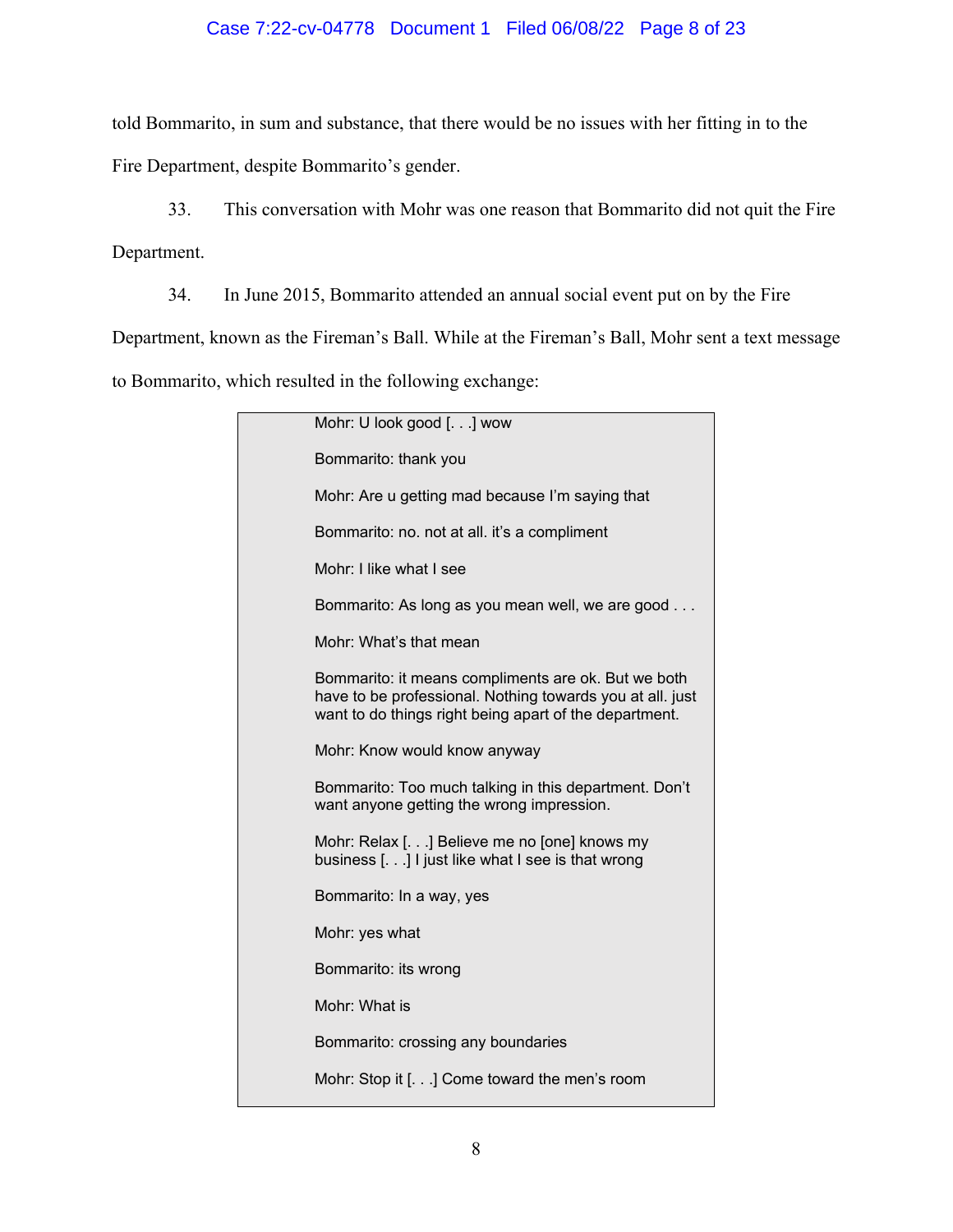# Case 7:22-cv-04778 Document 1 Filed 06/08/22 Page 8 of 23

told Bommarito, in sum and substance, that there would be no issues with her fitting in to the

Fire Department, despite Bommarito's gender.

33. This conversation with Mohr was one reason that Bommarito did not quit the Fire Department.

34. In June 2015, Bommarito attended an annual social event put on by the Fire

Department, known as the Fireman's Ball. While at the Fireman's Ball, Mohr sent a text message

to Bommarito, which resulted in the following exchange:

| Mohr: U look good [.] wow                                                                                                                                                  |
|----------------------------------------------------------------------------------------------------------------------------------------------------------------------------|
| Bommarito: thank you                                                                                                                                                       |
| Mohr: Are u getting mad because I'm saying that                                                                                                                            |
| Bommarito: no. not at all. it's a compliment                                                                                                                               |
| Mohr: I like what I see                                                                                                                                                    |
| Bommarito: As long as you mean well, we are good                                                                                                                           |
| Mohr: What's that mean                                                                                                                                                     |
| Bommarito: it means compliments are ok. But we both<br>have to be professional. Nothing towards you at all. just<br>want to do things right being apart of the department. |
| Mohr: Know would know anyway                                                                                                                                               |
| Bommarito: Too much talking in this department. Don't<br>want anyone getting the wrong impression.                                                                         |
| Mohr: Relax [] Believe me no [one] knows my<br>business [] I just like what I see is that wrong                                                                            |
| Bommarito: In a way, yes                                                                                                                                                   |
| Mohr: yes what                                                                                                                                                             |
| Bommarito: its wrong                                                                                                                                                       |
| Mohr: What is                                                                                                                                                              |
| Bommarito: crossing any boundaries                                                                                                                                         |
| Mohr: Stop it [] Come toward the men's room                                                                                                                                |
|                                                                                                                                                                            |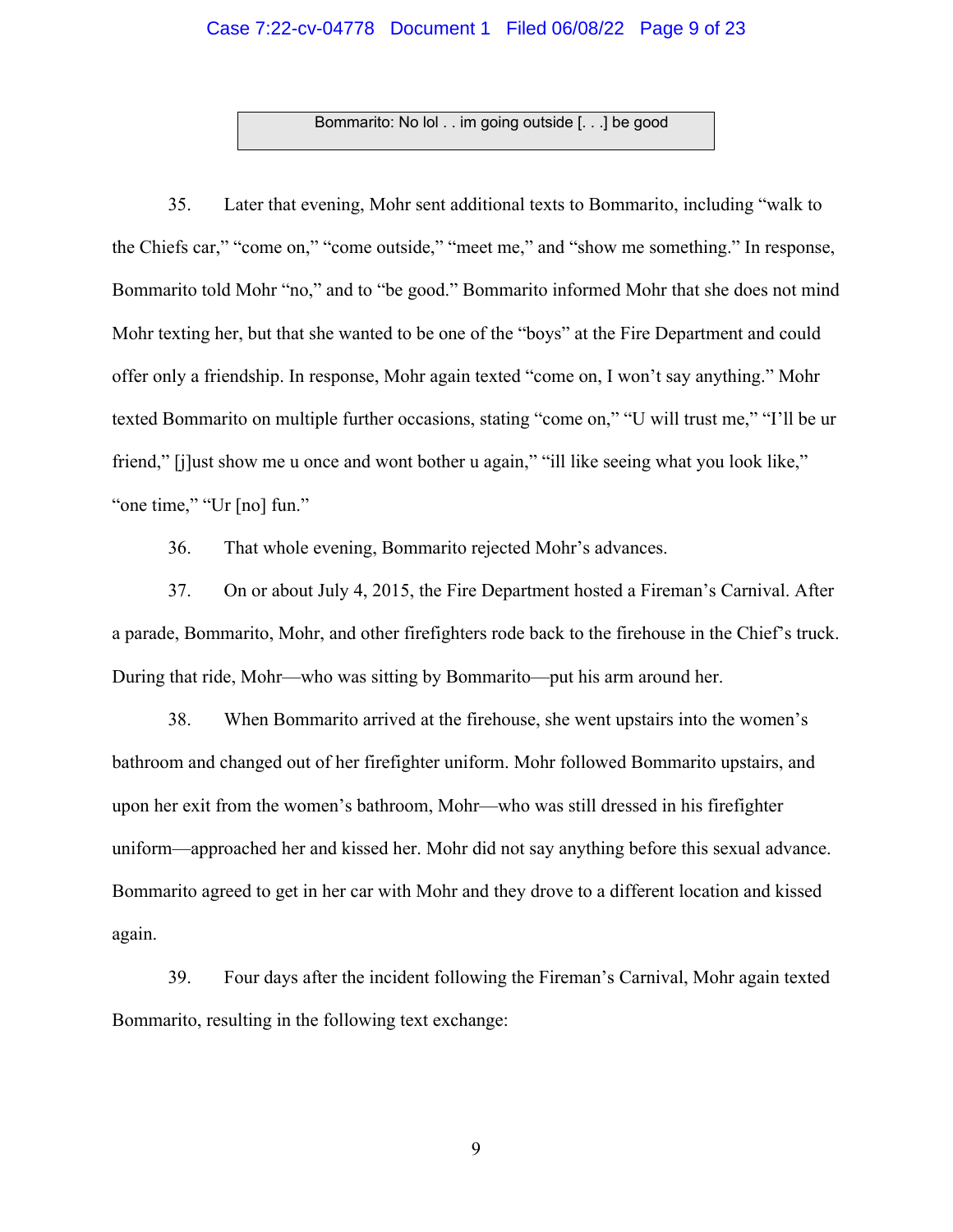### Case 7:22-cv-04778 Document 1 Filed 06/08/22 Page 9 of 23

Bommarito: No lol . . im going outside [. . .] be good

35. Later that evening, Mohr sent additional texts to Bommarito, including "walk to the Chiefs car," "come on," "come outside," "meet me," and "show me something." In response, Bommarito told Mohr "no," and to "be good." Bommarito informed Mohr that she does not mind Mohr texting her, but that she wanted to be one of the "boys" at the Fire Department and could offer only a friendship. In response, Mohr again texted "come on, I won't say anything." Mohr texted Bommarito on multiple further occasions, stating "come on," "U will trust me," "I'll be ur friend," [j]ust show me u once and wont bother u again," "ill like seeing what you look like," "one time," "Ur [no] fun."

36. That whole evening, Bommarito rejected Mohr's advances.

37. On or about July 4, 2015, the Fire Department hosted a Fireman's Carnival. After a parade, Bommarito, Mohr, and other firefighters rode back to the firehouse in the Chief's truck. During that ride, Mohr—who was sitting by Bommarito—put his arm around her.

38. When Bommarito arrived at the firehouse, she went upstairs into the women's bathroom and changed out of her firefighter uniform. Mohr followed Bommarito upstairs, and upon her exit from the women's bathroom, Mohr—who was still dressed in his firefighter uniform—approached her and kissed her. Mohr did not say anything before this sexual advance. Bommarito agreed to get in her car with Mohr and they drove to a different location and kissed again.

39. Four days after the incident following the Fireman's Carnival, Mohr again texted Bommarito, resulting in the following text exchange: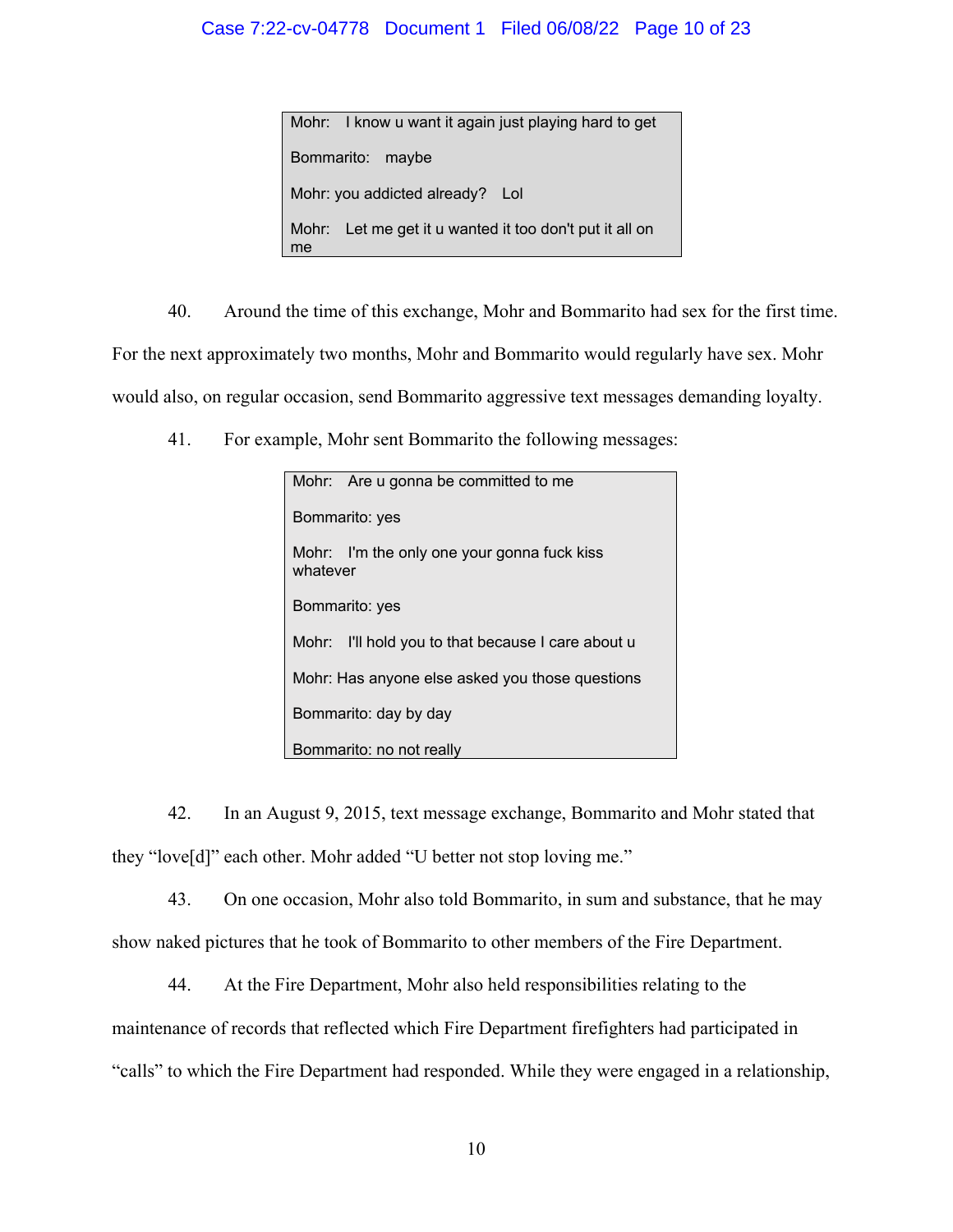## Case 7:22-cv-04778 Document 1 Filed 06/08/22 Page 10 of 23

Mohr: I know u want it again just playing hard to get Bommarito: maybe Mohr: you addicted already? Lol Mohr: Let me get it u wanted it too don't put it all on me

40. Around the time of this exchange, Mohr and Bommarito had sex for the first time. For the next approximately two months, Mohr and Bommarito would regularly have sex. Mohr would also, on regular occasion, send Bommarito aggressive text messages demanding loyalty.

41. For example, Mohr sent Bommarito the following messages:

| Mohr: Are u gonna be committed to me                    |  |
|---------------------------------------------------------|--|
| Bommarito: yes                                          |  |
| Mohr: I'm the only one your gonna fuck kiss<br>whatever |  |
| Bommarito: yes                                          |  |
| I'll hold you to that because I care about u<br>Mohr:   |  |
| Mohr: Has anyone else asked you those questions         |  |
| Bommarito: day by day                                   |  |
| Bommarito: no not really                                |  |

42. In an August 9, 2015, text message exchange, Bommarito and Mohr stated that they "love[d]" each other. Mohr added "U better not stop loving me."

43. On one occasion, Mohr also told Bommarito, in sum and substance, that he may show naked pictures that he took of Bommarito to other members of the Fire Department.

44. At the Fire Department, Mohr also held responsibilities relating to the maintenance of records that reflected which Fire Department firefighters had participated in "calls" to which the Fire Department had responded. While they were engaged in a relationship,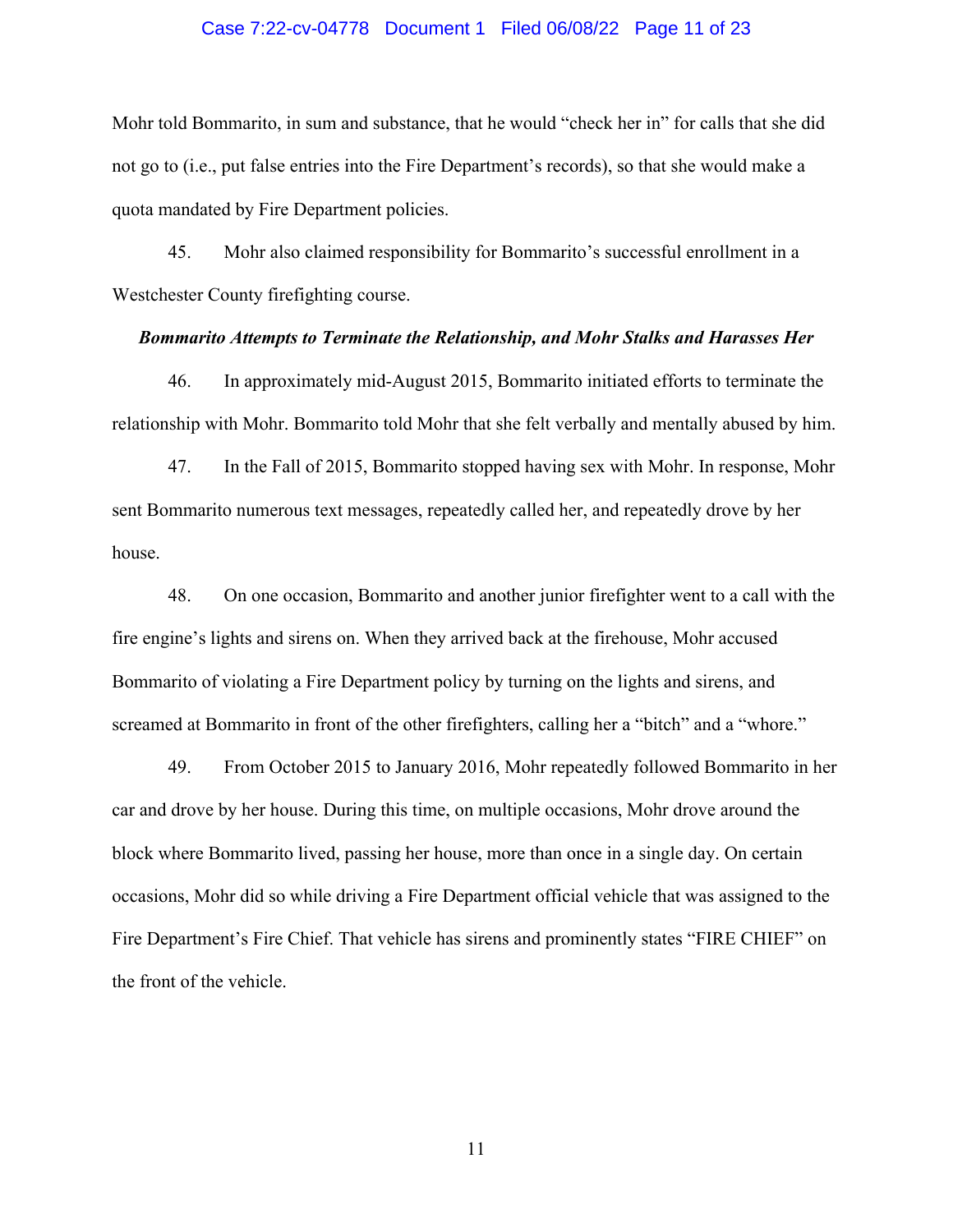#### Case 7:22-cv-04778 Document 1 Filed 06/08/22 Page 11 of 23

Mohr told Bommarito, in sum and substance, that he would "check her in" for calls that she did not go to (i.e., put false entries into the Fire Department's records), so that she would make a quota mandated by Fire Department policies.

45. Mohr also claimed responsibility for Bommarito's successful enrollment in a Westchester County firefighting course.

#### *Bommarito Attempts to Terminate the Relationship, and Mohr Stalks and Harasses Her*

46. In approximately mid-August 2015, Bommarito initiated efforts to terminate the relationship with Mohr. Bommarito told Mohr that she felt verbally and mentally abused by him.

47. In the Fall of 2015, Bommarito stopped having sex with Mohr. In response, Mohr sent Bommarito numerous text messages, repeatedly called her, and repeatedly drove by her house.

48. On one occasion, Bommarito and another junior firefighter went to a call with the fire engine's lights and sirens on. When they arrived back at the firehouse, Mohr accused Bommarito of violating a Fire Department policy by turning on the lights and sirens, and screamed at Bommarito in front of the other firefighters, calling her a "bitch" and a "whore."

49. From October 2015 to January 2016, Mohr repeatedly followed Bommarito in her car and drove by her house. During this time, on multiple occasions, Mohr drove around the block where Bommarito lived, passing her house, more than once in a single day. On certain occasions, Mohr did so while driving a Fire Department official vehicle that was assigned to the Fire Department's Fire Chief. That vehicle has sirens and prominently states "FIRE CHIEF" on the front of the vehicle.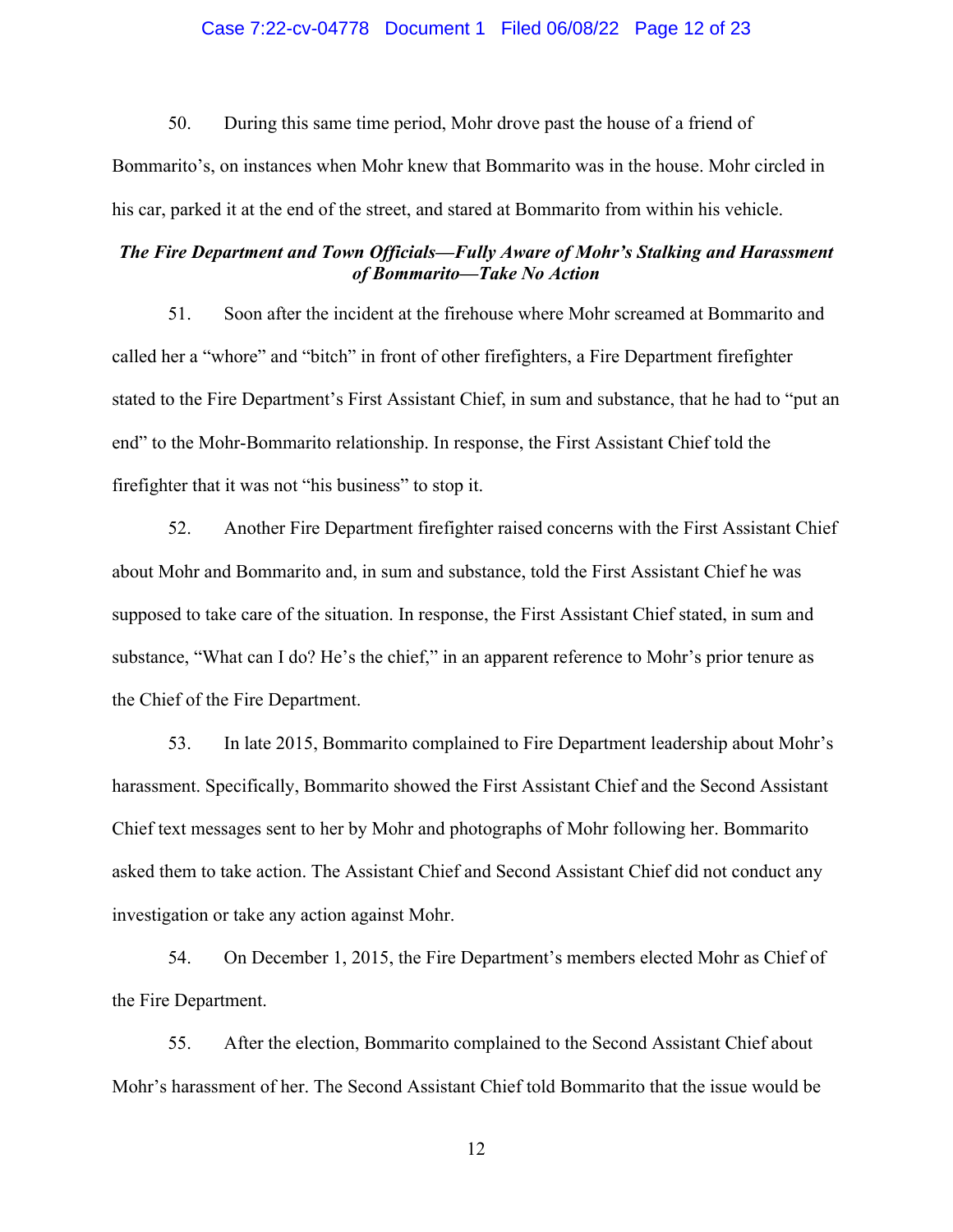### Case 7:22-cv-04778 Document 1 Filed 06/08/22 Page 12 of 23

50. During this same time period, Mohr drove past the house of a friend of Bommarito's, on instances when Mohr knew that Bommarito was in the house. Mohr circled in his car, parked it at the end of the street, and stared at Bommarito from within his vehicle.

### *The Fire Department and Town Officials—Fully Aware of Mohr's Stalking and Harassment of Bommarito—Take No Action*

51. Soon after the incident at the firehouse where Mohr screamed at Bommarito and called her a "whore" and "bitch" in front of other firefighters, a Fire Department firefighter stated to the Fire Department's First Assistant Chief, in sum and substance, that he had to "put an end" to the Mohr-Bommarito relationship. In response, the First Assistant Chief told the firefighter that it was not "his business" to stop it.

52. Another Fire Department firefighter raised concerns with the First Assistant Chief about Mohr and Bommarito and, in sum and substance, told the First Assistant Chief he was supposed to take care of the situation. In response, the First Assistant Chief stated, in sum and substance, "What can I do? He's the chief," in an apparent reference to Mohr's prior tenure as the Chief of the Fire Department.

53. In late 2015, Bommarito complained to Fire Department leadership about Mohr's harassment. Specifically, Bommarito showed the First Assistant Chief and the Second Assistant Chief text messages sent to her by Mohr and photographs of Mohr following her. Bommarito asked them to take action. The Assistant Chief and Second Assistant Chief did not conduct any investigation or take any action against Mohr.

54. On December 1, 2015, the Fire Department's members elected Mohr as Chief of the Fire Department.

55. After the election, Bommarito complained to the Second Assistant Chief about Mohr's harassment of her. The Second Assistant Chief told Bommarito that the issue would be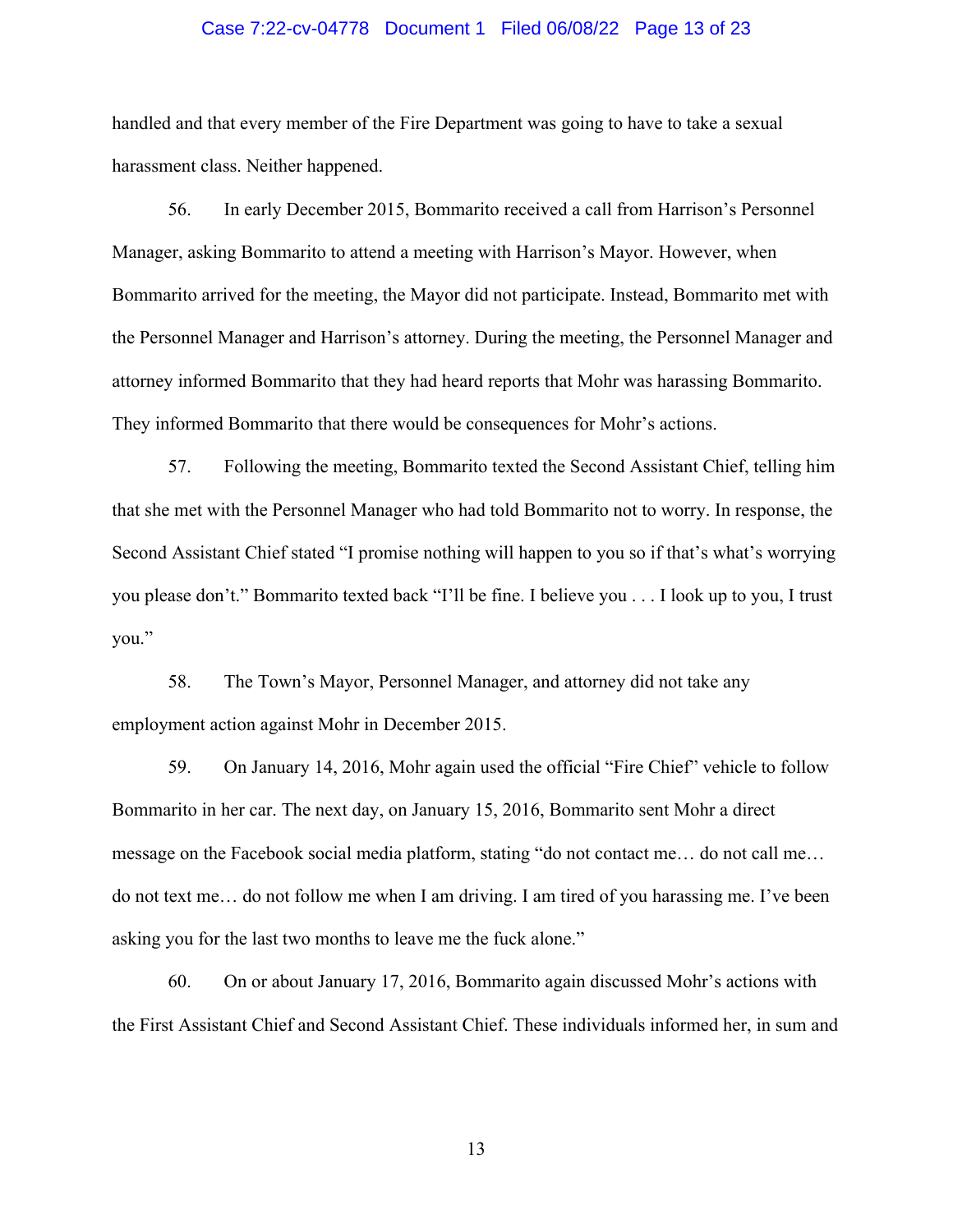#### Case 7:22-cv-04778 Document 1 Filed 06/08/22 Page 13 of 23

handled and that every member of the Fire Department was going to have to take a sexual harassment class. Neither happened.

56. In early December 2015, Bommarito received a call from Harrison's Personnel Manager, asking Bommarito to attend a meeting with Harrison's Mayor. However, when Bommarito arrived for the meeting, the Mayor did not participate. Instead, Bommarito met with the Personnel Manager and Harrison's attorney. During the meeting, the Personnel Manager and attorney informed Bommarito that they had heard reports that Mohr was harassing Bommarito. They informed Bommarito that there would be consequences for Mohr's actions.

57. Following the meeting, Bommarito texted the Second Assistant Chief, telling him that she met with the Personnel Manager who had told Bommarito not to worry. In response, the Second Assistant Chief stated "I promise nothing will happen to you so if that's what's worrying you please don't." Bommarito texted back "I'll be fine. I believe you . . . I look up to you, I trust you."

58. The Town's Mayor, Personnel Manager, and attorney did not take any employment action against Mohr in December 2015.

59. On January 14, 2016, Mohr again used the official "Fire Chief" vehicle to follow Bommarito in her car. The next day, on January 15, 2016, Bommarito sent Mohr a direct message on the Facebook social media platform, stating "do not contact me… do not call me… do not text me… do not follow me when I am driving. I am tired of you harassing me. I've been asking you for the last two months to leave me the fuck alone."

60. On or about January 17, 2016, Bommarito again discussed Mohr's actions with the First Assistant Chief and Second Assistant Chief. These individuals informed her, in sum and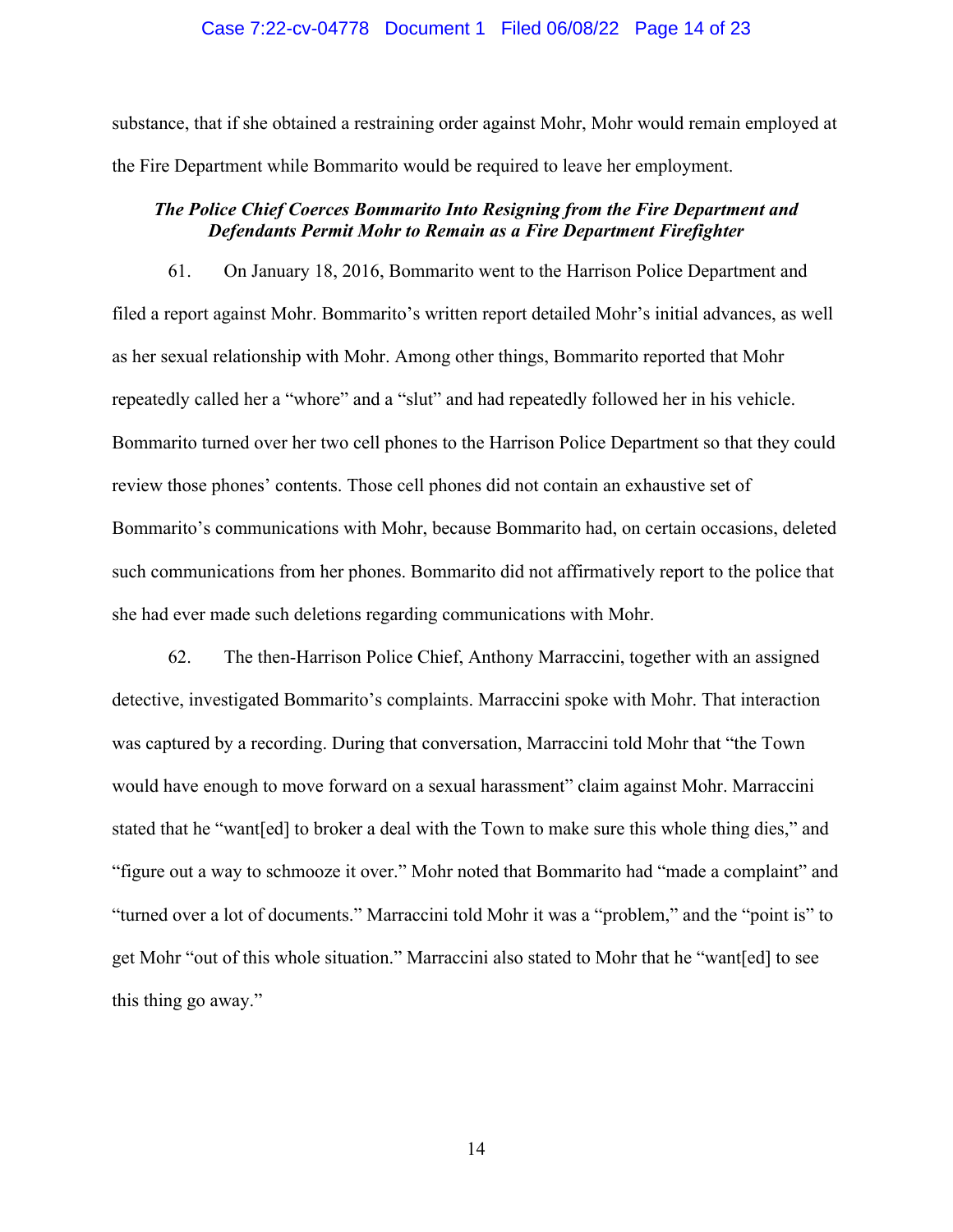#### Case 7:22-cv-04778 Document 1 Filed 06/08/22 Page 14 of 23

substance, that if she obtained a restraining order against Mohr, Mohr would remain employed at the Fire Department while Bommarito would be required to leave her employment.

### *The Police Chief Coerces Bommarito Into Resigning from the Fire Department and Defendants Permit Mohr to Remain as a Fire Department Firefighter*

61. On January 18, 2016, Bommarito went to the Harrison Police Department and filed a report against Mohr. Bommarito's written report detailed Mohr's initial advances, as well as her sexual relationship with Mohr. Among other things, Bommarito reported that Mohr repeatedly called her a "whore" and a "slut" and had repeatedly followed her in his vehicle. Bommarito turned over her two cell phones to the Harrison Police Department so that they could review those phones' contents. Those cell phones did not contain an exhaustive set of Bommarito's communications with Mohr, because Bommarito had, on certain occasions, deleted such communications from her phones. Bommarito did not affirmatively report to the police that she had ever made such deletions regarding communications with Mohr.

62. The then-Harrison Police Chief, Anthony Marraccini, together with an assigned detective, investigated Bommarito's complaints. Marraccini spoke with Mohr. That interaction was captured by a recording. During that conversation, Marraccini told Mohr that "the Town would have enough to move forward on a sexual harassment" claim against Mohr. Marraccini stated that he "want[ed] to broker a deal with the Town to make sure this whole thing dies," and "figure out a way to schmooze it over." Mohr noted that Bommarito had "made a complaint" and "turned over a lot of documents." Marraccini told Mohr it was a "problem," and the "point is" to get Mohr "out of this whole situation." Marraccini also stated to Mohr that he "want[ed] to see this thing go away."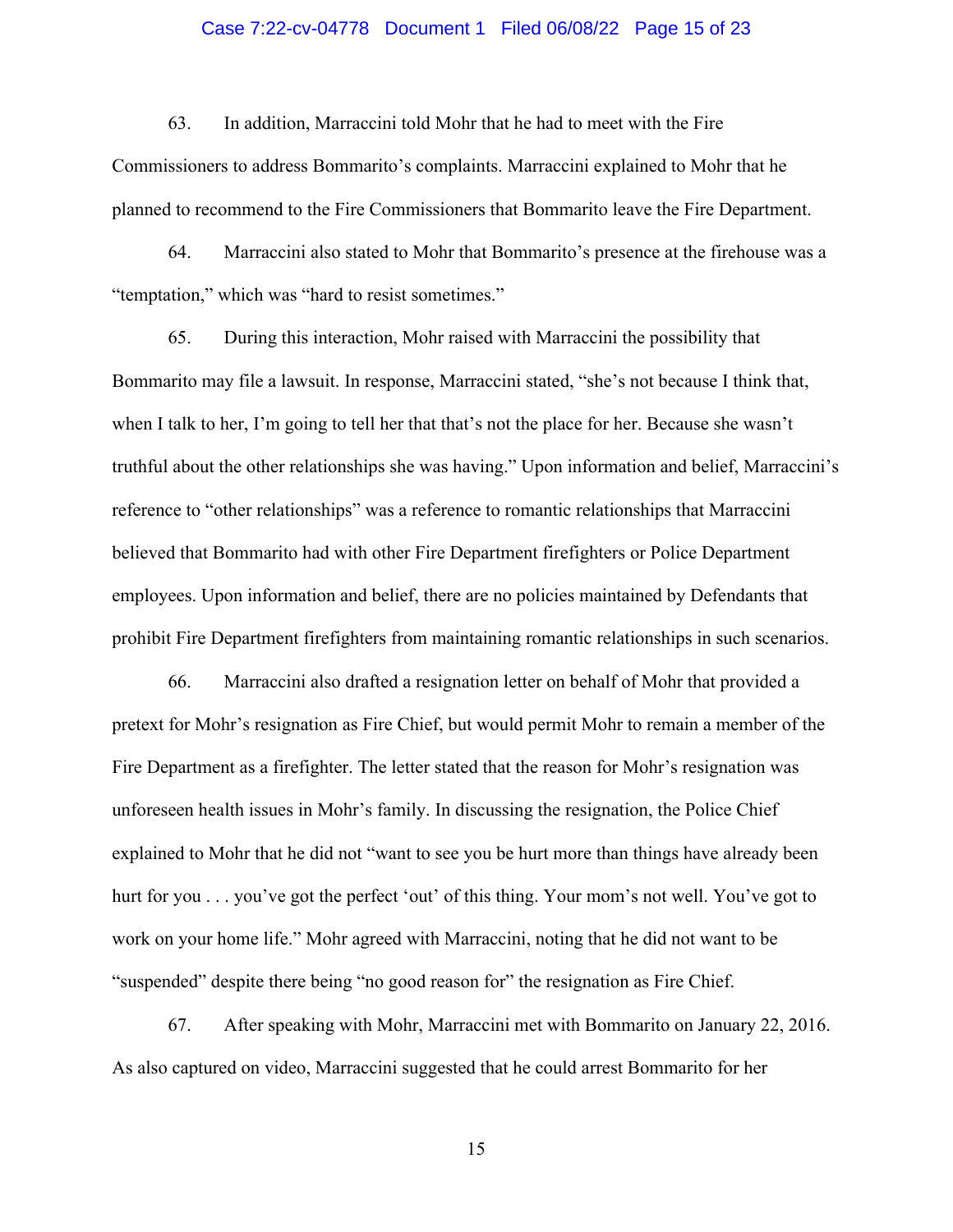### Case 7:22-cv-04778 Document 1 Filed 06/08/22 Page 15 of 23

63. In addition, Marraccini told Mohr that he had to meet with the Fire

Commissioners to address Bommarito's complaints. Marraccini explained to Mohr that he planned to recommend to the Fire Commissioners that Bommarito leave the Fire Department.

64. Marraccini also stated to Mohr that Bommarito's presence at the firehouse was a "temptation," which was "hard to resist sometimes."

65. During this interaction, Mohr raised with Marraccini the possibility that Bommarito may file a lawsuit. In response, Marraccini stated, "she's not because I think that, when I talk to her, I'm going to tell her that that's not the place for her. Because she wasn't truthful about the other relationships she was having." Upon information and belief, Marraccini's reference to "other relationships" was a reference to romantic relationships that Marraccini believed that Bommarito had with other Fire Department firefighters or Police Department employees. Upon information and belief, there are no policies maintained by Defendants that prohibit Fire Department firefighters from maintaining romantic relationships in such scenarios.

66. Marraccini also drafted a resignation letter on behalf of Mohr that provided a pretext for Mohr's resignation as Fire Chief, but would permit Mohr to remain a member of the Fire Department as a firefighter. The letter stated that the reason for Mohr's resignation was unforeseen health issues in Mohr's family. In discussing the resignation, the Police Chief explained to Mohr that he did not "want to see you be hurt more than things have already been hurt for you . . . you've got the perfect 'out' of this thing. Your mom's not well. You've got to work on your home life." Mohr agreed with Marraccini, noting that he did not want to be "suspended" despite there being "no good reason for" the resignation as Fire Chief.

67. After speaking with Mohr, Marraccini met with Bommarito on January 22, 2016. As also captured on video, Marraccini suggested that he could arrest Bommarito for her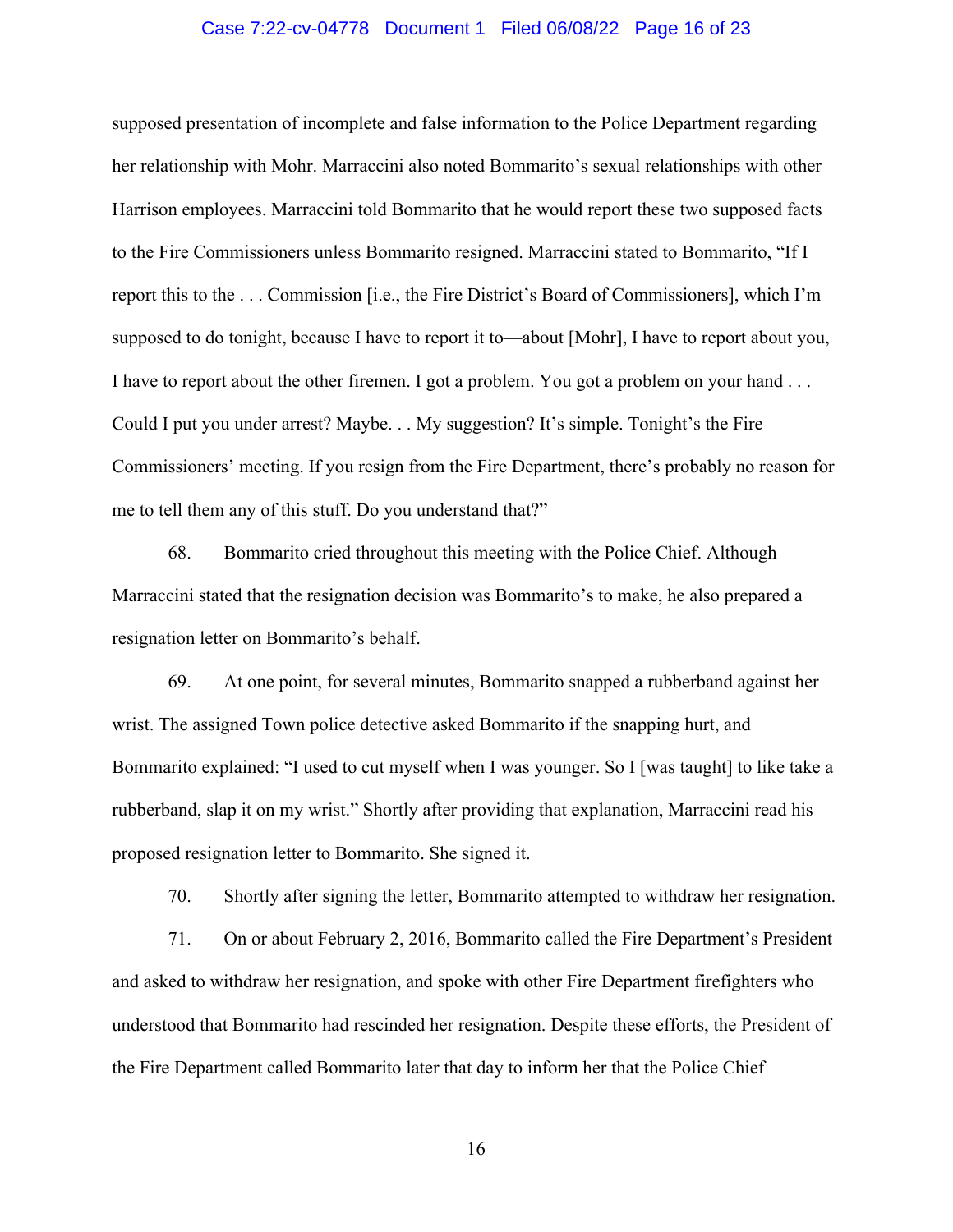### Case 7:22-cv-04778 Document 1 Filed 06/08/22 Page 16 of 23

supposed presentation of incomplete and false information to the Police Department regarding her relationship with Mohr. Marraccini also noted Bommarito's sexual relationships with other Harrison employees. Marraccini told Bommarito that he would report these two supposed facts to the Fire Commissioners unless Bommarito resigned. Marraccini stated to Bommarito, "If I report this to the . . . Commission [i.e., the Fire District's Board of Commissioners], which I'm supposed to do tonight, because I have to report it to—about [Mohr], I have to report about you, I have to report about the other firemen. I got a problem. You got a problem on your hand . . . Could I put you under arrest? Maybe. . . My suggestion? It's simple. Tonight's the Fire Commissioners' meeting. If you resign from the Fire Department, there's probably no reason for me to tell them any of this stuff. Do you understand that?"

68. Bommarito cried throughout this meeting with the Police Chief. Although Marraccini stated that the resignation decision was Bommarito's to make, he also prepared a resignation letter on Bommarito's behalf.

69. At one point, for several minutes, Bommarito snapped a rubberband against her wrist. The assigned Town police detective asked Bommarito if the snapping hurt, and Bommarito explained: "I used to cut myself when I was younger. So I [was taught] to like take a rubberband, slap it on my wrist." Shortly after providing that explanation, Marraccini read his proposed resignation letter to Bommarito. She signed it.

70. Shortly after signing the letter, Bommarito attempted to withdraw her resignation.

71. On or about February 2, 2016, Bommarito called the Fire Department's President and asked to withdraw her resignation, and spoke with other Fire Department firefighters who understood that Bommarito had rescinded her resignation. Despite these efforts, the President of the Fire Department called Bommarito later that day to inform her that the Police Chief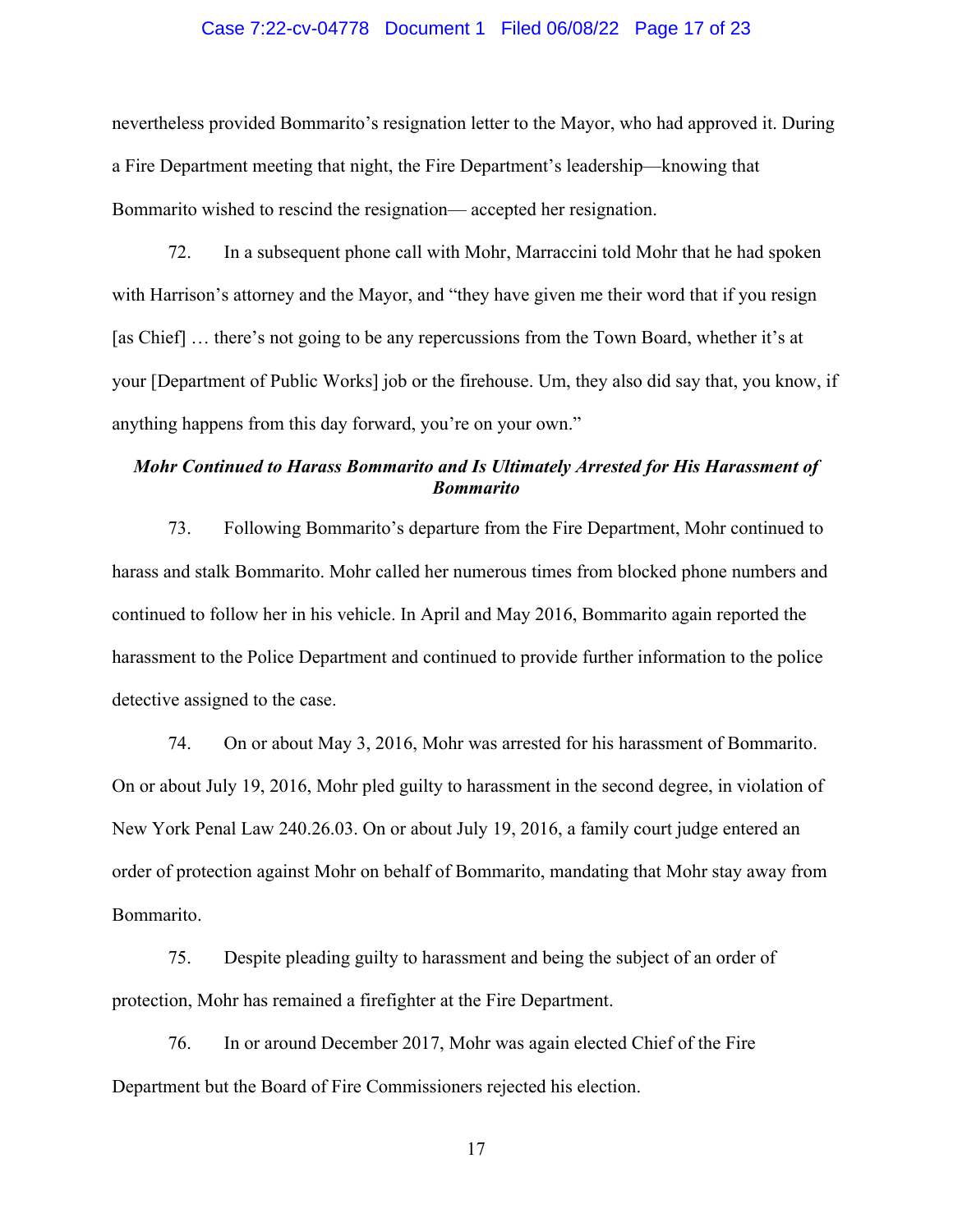#### Case 7:22-cv-04778 Document 1 Filed 06/08/22 Page 17 of 23

nevertheless provided Bommarito's resignation letter to the Mayor, who had approved it. During a Fire Department meeting that night, the Fire Department's leadership—knowing that Bommarito wished to rescind the resignation— accepted her resignation.

72. In a subsequent phone call with Mohr, Marraccini told Mohr that he had spoken with Harrison's attorney and the Mayor, and "they have given me their word that if you resign [as Chief] ... there's not going to be any repercussions from the Town Board, whether it's at your [Department of Public Works] job or the firehouse. Um, they also did say that, you know, if anything happens from this day forward, you're on your own."

## *Mohr Continued to Harass Bommarito and Is Ultimately Arrested for His Harassment of Bommarito*

73. Following Bommarito's departure from the Fire Department, Mohr continued to harass and stalk Bommarito. Mohr called her numerous times from blocked phone numbers and continued to follow her in his vehicle. In April and May 2016, Bommarito again reported the harassment to the Police Department and continued to provide further information to the police detective assigned to the case.

74. On or about May 3, 2016, Mohr was arrested for his harassment of Bommarito. On or about July 19, 2016, Mohr pled guilty to harassment in the second degree, in violation of New York Penal Law 240.26.03. On or about July 19, 2016, a family court judge entered an order of protection against Mohr on behalf of Bommarito, mandating that Mohr stay away from Bommarito.

75. Despite pleading guilty to harassment and being the subject of an order of protection, Mohr has remained a firefighter at the Fire Department.

76. In or around December 2017, Mohr was again elected Chief of the Fire Department but the Board of Fire Commissioners rejected his election.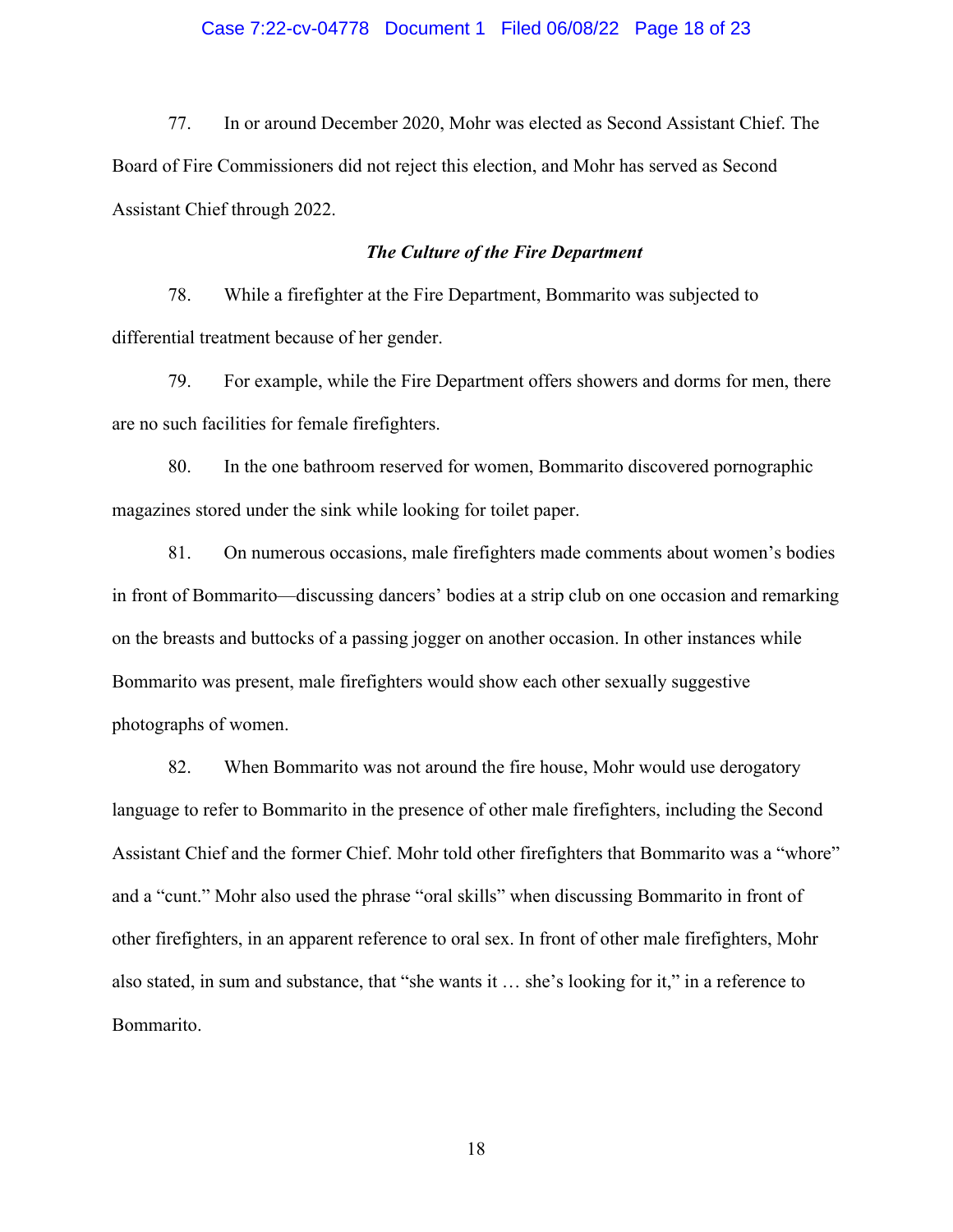### Case 7:22-cv-04778 Document 1 Filed 06/08/22 Page 18 of 23

77. In or around December 2020, Mohr was elected as Second Assistant Chief. The Board of Fire Commissioners did not reject this election, and Mohr has served as Second Assistant Chief through 2022.

### *The Culture of the Fire Department*

78. While a firefighter at the Fire Department, Bommarito was subjected to differential treatment because of her gender.

79. For example, while the Fire Department offers showers and dorms for men, there are no such facilities for female firefighters.

80. In the one bathroom reserved for women, Bommarito discovered pornographic magazines stored under the sink while looking for toilet paper.

81. On numerous occasions, male firefighters made comments about women's bodies in front of Bommarito—discussing dancers' bodies at a strip club on one occasion and remarking on the breasts and buttocks of a passing jogger on another occasion. In other instances while Bommarito was present, male firefighters would show each other sexually suggestive photographs of women.

82. When Bommarito was not around the fire house, Mohr would use derogatory language to refer to Bommarito in the presence of other male firefighters, including the Second Assistant Chief and the former Chief. Mohr told other firefighters that Bommarito was a "whore" and a "cunt." Mohr also used the phrase "oral skills" when discussing Bommarito in front of other firefighters, in an apparent reference to oral sex. In front of other male firefighters, Mohr also stated, in sum and substance, that "she wants it … she's looking for it," in a reference to Bommarito.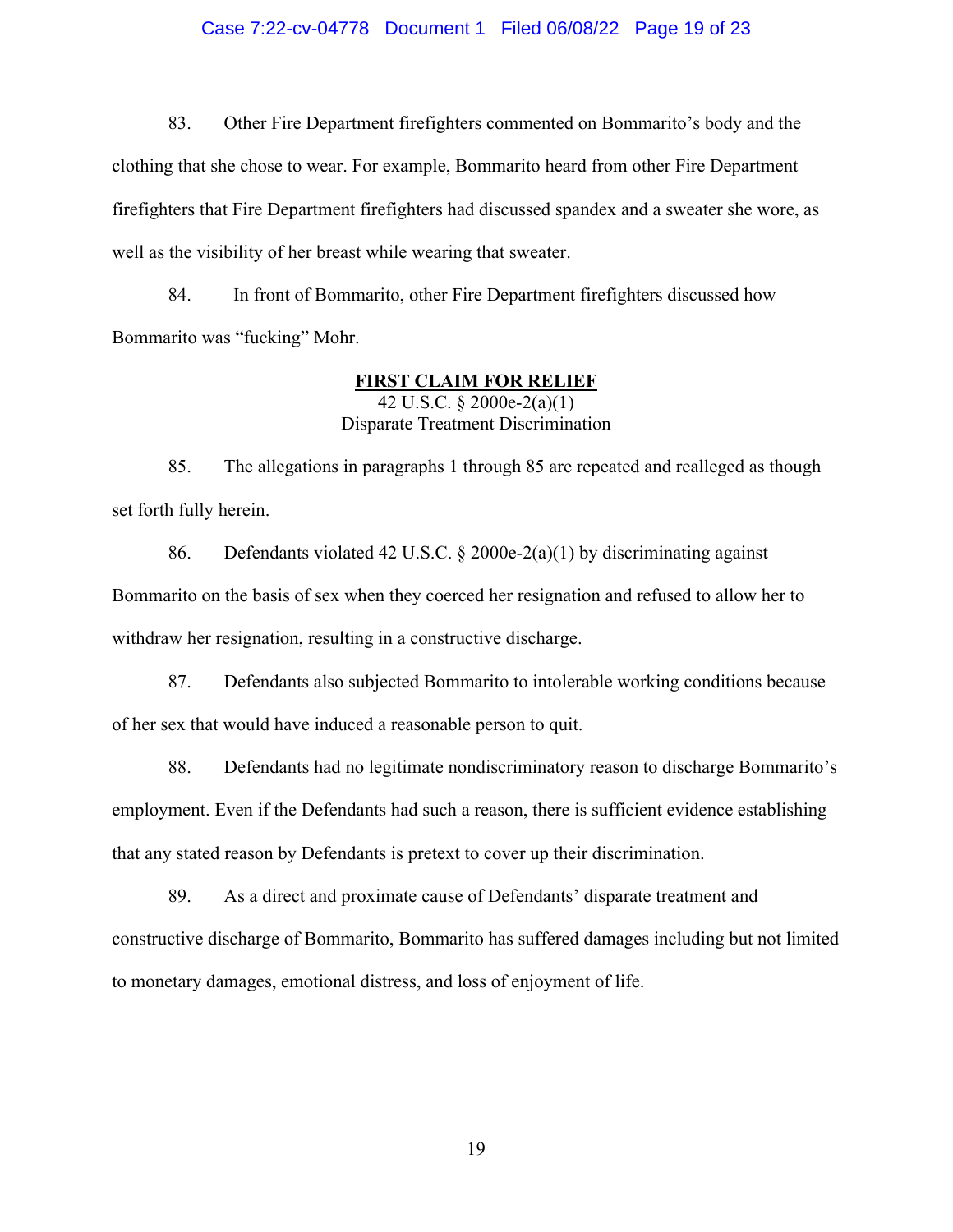#### Case 7:22-cv-04778 Document 1 Filed 06/08/22 Page 19 of 23

83. Other Fire Department firefighters commented on Bommarito's body and the clothing that she chose to wear. For example, Bommarito heard from other Fire Department firefighters that Fire Department firefighters had discussed spandex and a sweater she wore, as well as the visibility of her breast while wearing that sweater.

84. In front of Bommarito, other Fire Department firefighters discussed how Bommarito was "fucking" Mohr.

#### **FIRST CLAIM FOR RELIEF**

42 U.S.C. § 2000e-2(a)(1) Disparate Treatment Discrimination

85. The allegations in paragraphs 1 through 85 are repeated and realleged as though set forth fully herein.

86. Defendants violated 42 U.S.C. § 2000e-2(a)(1) by discriminating against Bommarito on the basis of sex when they coerced her resignation and refused to allow her to withdraw her resignation, resulting in a constructive discharge.

87. Defendants also subjected Bommarito to intolerable working conditions because of her sex that would have induced a reasonable person to quit.

88. Defendants had no legitimate nondiscriminatory reason to discharge Bommarito's employment. Even if the Defendants had such a reason, there is sufficient evidence establishing that any stated reason by Defendants is pretext to cover up their discrimination.

89. As a direct and proximate cause of Defendants' disparate treatment and constructive discharge of Bommarito, Bommarito has suffered damages including but not limited to monetary damages, emotional distress, and loss of enjoyment of life.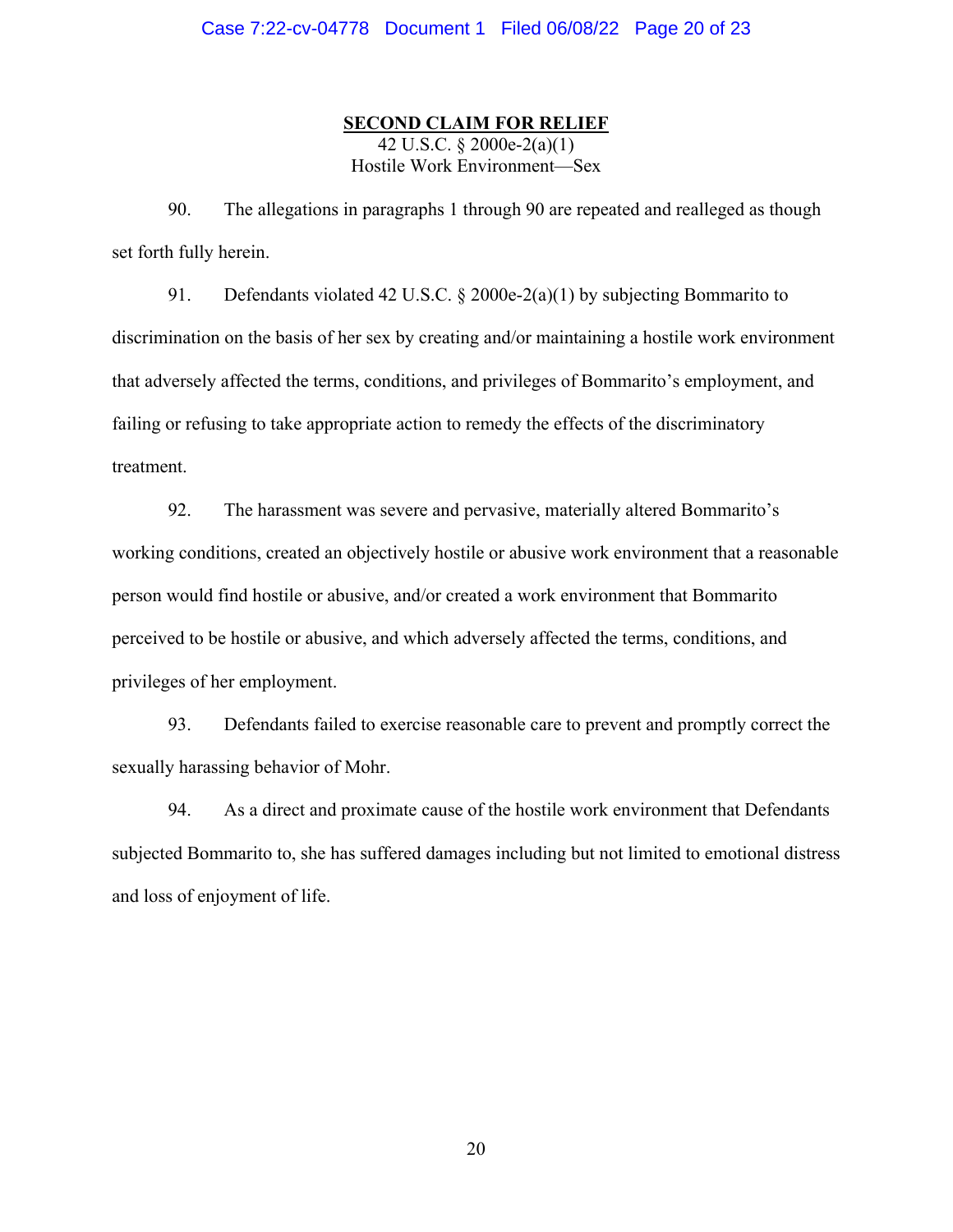### **SECOND CLAIM FOR RELIEF**

42 U.S.C. § 2000e-2(a) $\overline{(1)}$ Hostile Work Environment—Sex

90. The allegations in paragraphs 1 through 90 are repeated and realleged as though set forth fully herein.

91. Defendants violated 42 U.S.C. § 2000e-2(a)(1) by subjecting Bommarito to discrimination on the basis of her sex by creating and/or maintaining a hostile work environment that adversely affected the terms, conditions, and privileges of Bommarito's employment, and failing or refusing to take appropriate action to remedy the effects of the discriminatory treatment.

92. The harassment was severe and pervasive, materially altered Bommarito's working conditions, created an objectively hostile or abusive work environment that a reasonable person would find hostile or abusive, and/or created a work environment that Bommarito perceived to be hostile or abusive, and which adversely affected the terms, conditions, and privileges of her employment.

93. Defendants failed to exercise reasonable care to prevent and promptly correct the sexually harassing behavior of Mohr.

94. As a direct and proximate cause of the hostile work environment that Defendants subjected Bommarito to, she has suffered damages including but not limited to emotional distress and loss of enjoyment of life.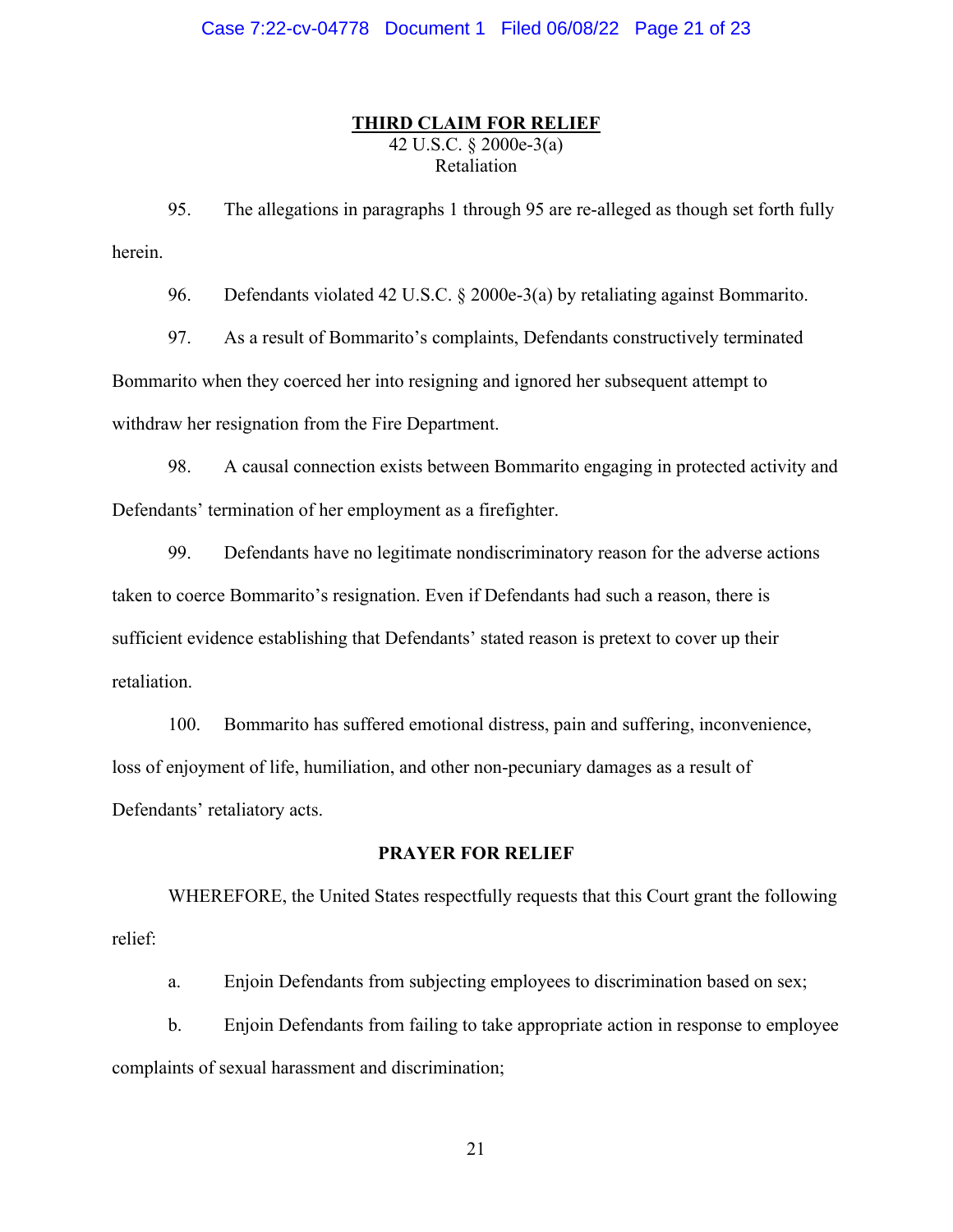### **THIRD CLAIM FOR RELIEF**

42 U.S.C. § 2000e-3(a) Retaliation

95. The allegations in paragraphs 1 through 95 are re-alleged as though set forth fully herein.

96. Defendants violated 42 U.S.C. § 2000e-3(a) by retaliating against Bommarito.

97. As a result of Bommarito's complaints, Defendants constructively terminated Bommarito when they coerced her into resigning and ignored her subsequent attempt to withdraw her resignation from the Fire Department.

98. A causal connection exists between Bommarito engaging in protected activity and Defendants' termination of her employment as a firefighter.

99. Defendants have no legitimate nondiscriminatory reason for the adverse actions taken to coerce Bommarito's resignation. Even if Defendants had such a reason, there is sufficient evidence establishing that Defendants' stated reason is pretext to cover up their retaliation.

100. Bommarito has suffered emotional distress, pain and suffering, inconvenience, loss of enjoyment of life, humiliation, and other non-pecuniary damages as a result of Defendants' retaliatory acts.

### **PRAYER FOR RELIEF**

WHEREFORE, the United States respectfully requests that this Court grant the following relief:

a. Enjoin Defendants from subjecting employees to discrimination based on sex;

b. Enjoin Defendants from failing to take appropriate action in response to employee complaints of sexual harassment and discrimination;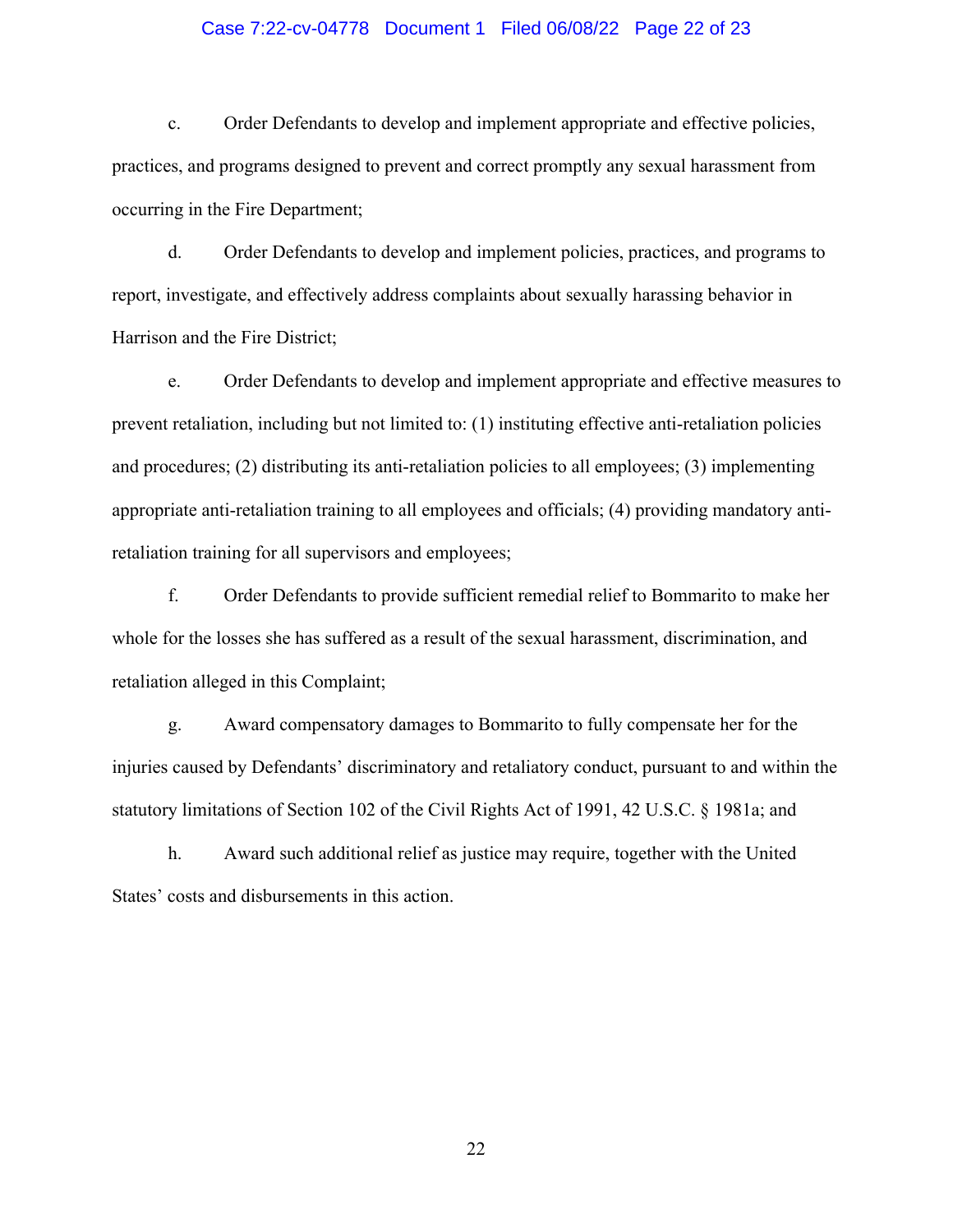### Case 7:22-cv-04778 Document 1 Filed 06/08/22 Page 22 of 23

c. Order Defendants to develop and implement appropriate and effective policies, practices, and programs designed to prevent and correct promptly any sexual harassment from occurring in the Fire Department;

d. Order Defendants to develop and implement policies, practices, and programs to report, investigate, and effectively address complaints about sexually harassing behavior in Harrison and the Fire District;

e. Order Defendants to develop and implement appropriate and effective measures to prevent retaliation, including but not limited to: (1) instituting effective anti-retaliation policies and procedures; (2) distributing its anti-retaliation policies to all employees; (3) implementing appropriate anti-retaliation training to all employees and officials; (4) providing mandatory antiretaliation training for all supervisors and employees;

f. Order Defendants to provide sufficient remedial relief to Bommarito to make her whole for the losses she has suffered as a result of the sexual harassment, discrimination, and retaliation alleged in this Complaint;

g. Award compensatory damages to Bommarito to fully compensate her for the injuries caused by Defendants' discriminatory and retaliatory conduct, pursuant to and within the statutory limitations of Section 102 of the Civil Rights Act of 1991, 42 U.S.C. § 1981a; and

h. Award such additional relief as justice may require, together with the United States' costs and disbursements in this action.